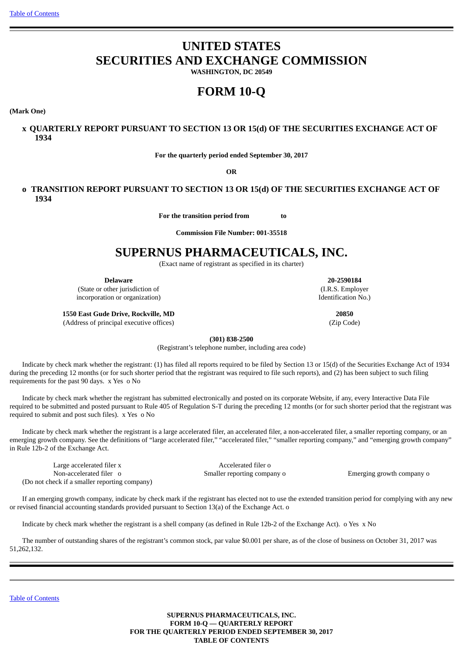# **UNITED STATES SECURITIES AND EXCHANGE COMMISSION**

**WASHINGTON, DC 20549**

# **FORM 10-Q**

**(Mark One)**

# **x QUARTERLY REPORT PURSUANT TO SECTION 13 OR 15(d) OF THE SECURITIES EXCHANGE ACT OF 1934**

**For the quarterly period ended September 30, 2017**

**OR**

# **o TRANSITION REPORT PURSUANT TO SECTION 13 OR 15(d) OF THE SECURITIES EXCHANGE ACT OF 1934**

**For the transition period from to**

**Commission File Number: 001-35518**

# **SUPERNUS PHARMACEUTICALS, INC.**

(Exact name of registrant as specified in its charter)

**Delaware 20-2590184**

(State or other jurisdiction of (I.R.S. Employer incorporation or organization) and the state of the state of the state of the Identification No.)

**1550 East Gude Drive, Rockville, MD 20850**

(Address of principal executive offices) (Zip Code)

**(301) 838-2500**

(Registrant's telephone number, including area code)

Indicate by check mark whether the registrant: (1) has filed all reports required to be filed by Section 13 or 15(d) of the Securities Exchange Act of 1934 during the preceding 12 months (or for such shorter period that the registrant was required to file such reports), and (2) has been subject to such filing requirements for the past 90 days. x Yes o No

Indicate by check mark whether the registrant has submitted electronically and posted on its corporate Website, if any, every Interactive Data File required to be submitted and posted pursuant to Rule 405 of Regulation S-T during the preceding 12 months (or for such shorter period that the registrant was required to submit and post such files). x Yes o No

Indicate by check mark whether the registrant is a large accelerated filer, an accelerated filer, a non-accelerated filer, a smaller reporting company, or an emerging growth company. See the definitions of "large accelerated filer," "accelerated filer," "smaller reporting company," and "emerging growth company" in Rule 12b-2 of the Exchange Act.

Large accelerated filer x Accelerated filer o Non-accelerated filer o Smaller reporting company o Emerging growth company o (Do not check if a smaller reporting company)

If an emerging growth company, indicate by check mark if the registrant has elected not to use the extended transition period for complying with any new or revised financial accounting standards provided pursuant to Section 13(a) of the Exchange Act. o

Indicate by check mark whether the registrant is a shell company (as defined in Rule 12b-2 of the Exchange Act). o Yes x No

The number of outstanding shares of the registrant's common stock, par value \$0.001 per share, as of the close of business on October 31, 2017 was 51,262,132.

Table of [Contents](#page-0-0)

### <span id="page-0-0"></span>**SUPERNUS PHARMACEUTICALS, INC. FORM 10-Q — QUARTERLY REPORT FOR THE QUARTERLY PERIOD ENDED SEPTEMBER 30, 2017 TABLE OF CONTENTS**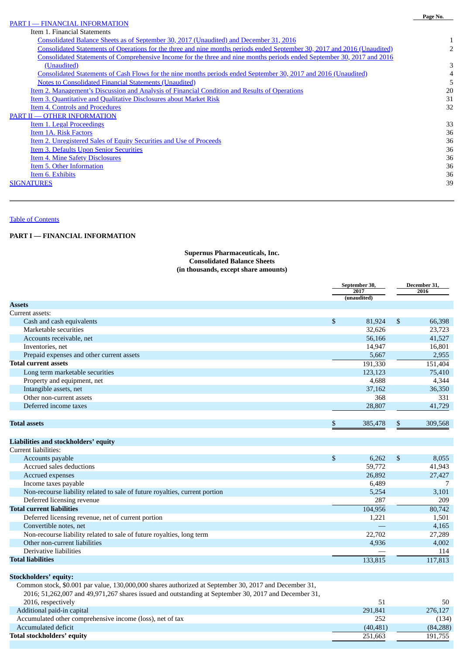|                                                                                                                           | Page No.       |
|---------------------------------------------------------------------------------------------------------------------------|----------------|
| <b>PART I - FINANCIAL INFORMATION</b>                                                                                     |                |
| Item 1. Financial Statements                                                                                              |                |
| Consolidated Balance Sheets as of September 30, 2017 (Unaudited) and December 31, 2016                                    |                |
| Consolidated Statements of Operations for the three and nine months periods ended September 30, 2017 and 2016 (Unaudited) | $\overline{2}$ |
| Consolidated Statements of Comprehensive Income for the three and nine months periods ended September 30, 2017 and 2016   |                |
| (Unaudited)                                                                                                               | 3              |
| Consolidated Statements of Cash Flows for the nine months periods ended September 30, 2017 and 2016 (Unaudited)           | 4              |
| <b>Notes to Consolidated Financial Statements (Unaudited)</b>                                                             | 5              |
| Item 2. Management's Discussion and Analysis of Financial Condition and Results of Operations                             | 20             |
| Item 3. Quantitative and Qualitative Disclosures about Market Risk                                                        | 31             |
| <b>Item 4. Controls and Procedures</b>                                                                                    | 32             |
| <b>PART II - OTHER INFORMATION</b>                                                                                        |                |
| Item 1. Legal Proceedings                                                                                                 | 33             |
| Item 1A. Risk Factors                                                                                                     | 36             |
| Item 2. Unregistered Sales of Equity Securities and Use of Proceeds                                                       | 36             |
| <b>Item 3. Defaults Upon Senior Securities</b>                                                                            | 36             |
| <b>Item 4. Mine Safety Disclosures</b>                                                                                    | 36             |
| Item 5. Other Information                                                                                                 | 36             |
| Item 6. Exhibits                                                                                                          | 36             |
| <b>SIGNATURES</b>                                                                                                         | 39             |
|                                                                                                                           |                |

# Table of [Contents](#page-0-0)

# **PART I — FINANCIAL INFORMATION**

### <span id="page-1-1"></span><span id="page-1-0"></span>**Supernus Pharmaceuticals, Inc. Consolidated Balance Sheets (in thousands, except share amounts)**

|                                                                                                                                                                                                              | September 30,<br>2017 |             | December 31,<br>2016 |
|--------------------------------------------------------------------------------------------------------------------------------------------------------------------------------------------------------------|-----------------------|-------------|----------------------|
|                                                                                                                                                                                                              |                       | (unaudited) |                      |
| <b>Assets</b>                                                                                                                                                                                                |                       |             |                      |
| Current assets:                                                                                                                                                                                              |                       |             |                      |
| Cash and cash equivalents                                                                                                                                                                                    | \$                    | 81,924      | \$<br>66,398         |
| Marketable securities                                                                                                                                                                                        |                       | 32,626      | 23,723               |
| Accounts receivable, net                                                                                                                                                                                     |                       | 56,166      | 41,527               |
| Inventories, net                                                                                                                                                                                             |                       | 14.947      | 16,801               |
| Prepaid expenses and other current assets                                                                                                                                                                    |                       | 5,667       | 2,955                |
| <b>Total current assets</b>                                                                                                                                                                                  |                       | 191,330     | 151,404              |
| Long term marketable securities                                                                                                                                                                              |                       | 123,123     | 75,410               |
| Property and equipment, net                                                                                                                                                                                  |                       | 4,688       | 4,344                |
| Intangible assets, net                                                                                                                                                                                       |                       | 37,162      | 36,350               |
| Other non-current assets                                                                                                                                                                                     |                       | 368         | 331                  |
| Deferred income taxes                                                                                                                                                                                        |                       | 28,807      | 41,729               |
| <b>Total assets</b>                                                                                                                                                                                          | \$                    | 385,478     | \$<br>309,568        |
| Liabilities and stockholders' equity                                                                                                                                                                         |                       |             |                      |
| Current liabilities:                                                                                                                                                                                         |                       |             |                      |
| Accounts payable                                                                                                                                                                                             | \$                    | 6,262       | \$<br>8,055          |
| Accrued sales deductions                                                                                                                                                                                     |                       | 59,772      | 41,943               |
| Accrued expenses                                                                                                                                                                                             |                       | 26,892      | 27,427               |
| Income taxes payable                                                                                                                                                                                         |                       | 6,489       | 7                    |
| Non-recourse liability related to sale of future royalties, current portion                                                                                                                                  |                       | 5,254       | 3,101                |
| Deferred licensing revenue                                                                                                                                                                                   |                       | 287         | 209                  |
| <b>Total current liabilities</b>                                                                                                                                                                             |                       | 104,956     | 80,742               |
| Deferred licensing revenue, net of current portion                                                                                                                                                           |                       | 1,221       | 1,501                |
| Convertible notes, net                                                                                                                                                                                       |                       |             | 4,165                |
| Non-recourse liability related to sale of future royalties, long term                                                                                                                                        |                       | 22,702      | 27,289               |
| Other non-current liabilities                                                                                                                                                                                |                       | 4,936       | 4,002                |
| Derivative liabilities                                                                                                                                                                                       |                       |             | 114                  |
| <b>Total liabilities</b>                                                                                                                                                                                     |                       | 133,815     | 117,813              |
| <b>Stockholders' equity:</b>                                                                                                                                                                                 |                       |             |                      |
| Common stock, \$0.001 par value, 130,000,000 shares authorized at September 30, 2017 and December 31,<br>2016: 51.262.007 and 49.971.267 shares issued and outstanding at September 30, 2017 and December 31 |                       |             |                      |

2016; 51,262,007 and 49,971,267 shares issued and outstanding at September 30, 2017 and December 31,

| 2016, respectively                                        |           | 50        |
|-----------------------------------------------------------|-----------|-----------|
| Additional paid-in capital                                | 291.841   | 276,127   |
| Accumulated other comprehensive income (loss), net of tax | 252       | (134)     |
| Accumulated deficit                                       | (40, 481) | (84, 288) |
| Total stockholders' equity                                | 251.663   | 191.755   |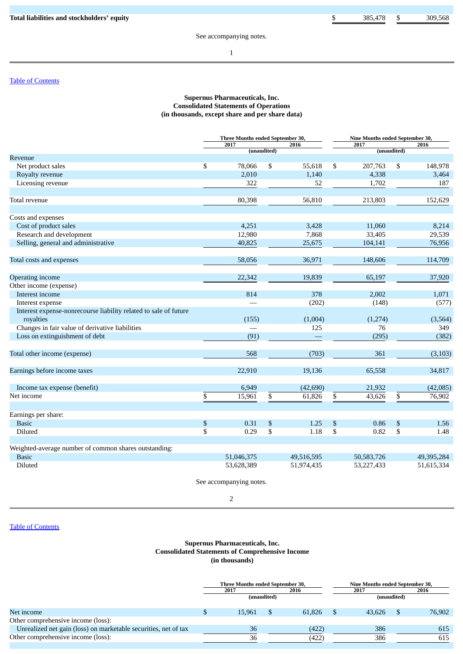<span id="page-2-0"></span>

See accompanying notes.

## Table of [Contents](#page-0-0)

## **Supernus Pharmaceuticals, Inc. Consolidated Statements of Operations (in thousands, except share and per share data)**

|                                                                  |                         | <b>Three Months ended September 30,</b> |                 |            |                          | Nine Months ended September 30, |                         |            |  |
|------------------------------------------------------------------|-------------------------|-----------------------------------------|-----------------|------------|--------------------------|---------------------------------|-------------------------|------------|--|
|                                                                  |                         | 2017                                    | (unaudited)     | 2016       |                          | 2017                            | (unaudited)             | 2016       |  |
| Revenue                                                          |                         |                                         |                 |            |                          |                                 |                         |            |  |
| Net product sales                                                | \$                      | 78,066                                  | \$              | 55,618     | \$                       | 207,763                         | \$                      | 148,978    |  |
| Royalty revenue                                                  |                         | 2,010                                   |                 | 1,140      |                          | 4,338                           |                         | 3,464      |  |
| Licensing revenue                                                |                         | 322                                     |                 | 52         |                          | 1,702                           |                         | 187        |  |
|                                                                  |                         |                                         |                 |            |                          |                                 |                         |            |  |
| Total revenue                                                    |                         | 80,398                                  |                 | 56,810     |                          | 213,803                         |                         | 152,629    |  |
|                                                                  |                         |                                         |                 |            |                          |                                 |                         |            |  |
| Costs and expenses                                               |                         |                                         |                 |            |                          |                                 |                         |            |  |
| Cost of product sales                                            |                         | 4,251                                   |                 | 3,428      |                          | 11,060                          |                         | 8,214      |  |
| Research and development                                         |                         | 12,980                                  |                 | 7,868      |                          | 33,405                          |                         | 29,539     |  |
| Selling, general and administrative                              |                         | 40,825                                  |                 | 25,675     |                          | 104,141                         |                         | 76,956     |  |
|                                                                  |                         |                                         |                 |            |                          |                                 |                         |            |  |
| Total costs and expenses                                         |                         | 58,056                                  |                 | 36,971     |                          | 148,606                         |                         | 114,709    |  |
|                                                                  |                         |                                         |                 |            |                          |                                 |                         |            |  |
| Operating income                                                 |                         | 22,342                                  |                 | 19,839     |                          | 65,197                          |                         | 37,920     |  |
| Other income (expense)                                           |                         |                                         |                 |            |                          |                                 |                         |            |  |
| Interest income                                                  |                         | 814                                     |                 | 378        |                          | 2,002                           |                         | 1,071      |  |
| Interest expense                                                 |                         |                                         |                 | (202)      |                          | (148)                           |                         | (577)      |  |
| Interest expense-nonrecourse liability related to sale of future |                         |                                         |                 |            |                          |                                 |                         |            |  |
| rovalties                                                        |                         | (155)                                   |                 | (1,004)    |                          | (1,274)                         |                         | (3, 564)   |  |
| Changes in fair value of derivative liabilities                  |                         |                                         |                 | 125        |                          | 76                              |                         | 349        |  |
| Loss on extinguishment of debt                                   |                         | (91)                                    |                 |            |                          | (295)                           |                         | (382)      |  |
|                                                                  |                         |                                         |                 |            |                          |                                 |                         |            |  |
| Total other income (expense)                                     |                         | 568                                     |                 | (703)      |                          | 361                             |                         | (3, 103)   |  |
|                                                                  |                         |                                         |                 |            |                          |                                 |                         |            |  |
| Earnings before income taxes                                     |                         | 22,910                                  |                 | 19,136     |                          | 65,558                          |                         | 34,817     |  |
|                                                                  |                         |                                         |                 |            |                          |                                 |                         |            |  |
| Income tax expense (benefit)                                     |                         | 6,949                                   |                 | (42, 690)  |                          | 21,932                          |                         | (42,085)   |  |
| Net income                                                       | $\overline{\$}$         | 15,961                                  | $\overline{\$}$ | 61,826     | $\overline{\$}$          | 43,626                          | \$                      | 76,902     |  |
|                                                                  |                         |                                         |                 |            |                          |                                 |                         |            |  |
| Earnings per share:                                              |                         |                                         |                 |            |                          |                                 |                         |            |  |
| <b>Basic</b>                                                     | \$                      | 0.31                                    | \$              | 1.25       | $\$$                     | 0.86                            | \$                      | 1.56       |  |
| Diluted                                                          | $\overline{\mathbb{S}}$ | 0.29                                    | $\overline{\$}$ | 1.18       | $\overline{\mathcal{S}}$ | 0.82                            | $\overline{\mathbb{S}}$ | 1.48       |  |
|                                                                  |                         |                                         |                 |            |                          |                                 |                         |            |  |
| Weighted-average number of common shares outstanding:            |                         |                                         |                 |            |                          |                                 |                         |            |  |
| <b>Basic</b>                                                     |                         | 51,046,375                              |                 | 49,516,595 |                          | 50,583,726                      |                         | 49,395,284 |  |
| Diluted                                                          |                         | 53,628,389                              |                 | 51,974,435 |                          | 53,227,433                      |                         | 51,615,334 |  |
|                                                                  |                         |                                         |                 |            |                          |                                 |                         |            |  |
|                                                                  |                         | See accompanying notes.                 |                 |            |                          |                                 |                         |            |  |

<span id="page-2-1"></span>2

# Table of [Contents](#page-0-0)

### **Supernus Pharmaceuticals, Inc. Consolidated Statements of Comprehensive Income (in thousands)**

|                                                                 | Three Months ended September 30,<br>2016<br>2017 |  |        |  | Nine Months ended September 30,<br>2017 | 2016        |        |
|-----------------------------------------------------------------|--------------------------------------------------|--|--------|--|-----------------------------------------|-------------|--------|
|                                                                 | (unaudited)                                      |  |        |  |                                         | (unaudited) |        |
| Net income                                                      | 15.961                                           |  | 61.826 |  | 43.626                                  |             | 76,902 |
| Other comprehensive income (loss):                              |                                                  |  |        |  |                                         |             |        |
| Unrealized net gain (loss) on marketable securities, net of tax | 36                                               |  | (422)  |  | 386                                     |             | 615    |
| Other comprehensive income (loss):                              | 36                                               |  | (422)  |  | 386                                     |             | 615    |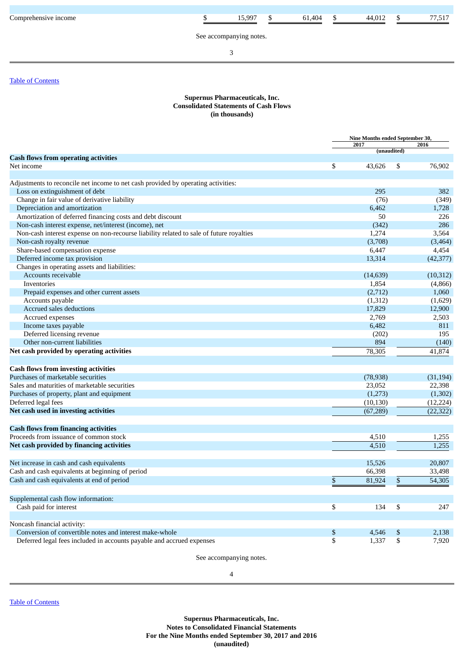| -<br>Comprehensive income<br>$\sim$ $\sim$ | 15. $00-1$<br>، ت ت ت | $\sim$<br><b>.</b><br>.404<br>$\sim$ | $\bigcap$ 1'<br>71 Z L<br>T.VIZ | <b>BB 545</b><br>. ت |
|--------------------------------------------|-----------------------|--------------------------------------|---------------------------------|----------------------|

See accompanying notes.

<span id="page-3-0"></span>3

# Table of [Contents](#page-0-0)

## **Supernus Pharmaceuticals, Inc. Consolidated Statements of Cash Flows (in thousands)**

|                                                                                         | Nine Months ended September 30, |              |
|-----------------------------------------------------------------------------------------|---------------------------------|--------------|
|                                                                                         | 2017                            | 2016         |
| <b>Cash flows from operating activities</b>                                             | (unaudited)                     |              |
| Net income                                                                              | \$<br>43,626                    | \$<br>76,902 |
|                                                                                         |                                 |              |
| Adjustments to reconcile net income to net cash provided by operating activities:       |                                 |              |
| Loss on extinguishment of debt                                                          | 295                             | 382          |
| Change in fair value of derivative liability                                            | (76)                            | (349)        |
| Depreciation and amortization                                                           | 6,462                           | 1,728        |
| Amortization of deferred financing costs and debt discount                              | 50                              | 226          |
| Non-cash interest expense, net/interest (income), net                                   | (342)                           | 286          |
| Non-cash interest expense on non-recourse liability related to sale of future royalties | 1,274                           | 3,564        |
| Non-cash royalty revenue                                                                | (3,708)                         | (3, 464)     |
| Share-based compensation expense                                                        | 6,447                           | 4,454        |
| Deferred income tax provision                                                           | 13,314                          | (42, 377)    |
| Changes in operating assets and liabilities:                                            |                                 |              |
| Accounts receivable                                                                     | (14, 639)                       | (10, 312)    |
| Inventories                                                                             | 1,854                           | (4,866)      |
| Prepaid expenses and other current assets                                               | (2,712)                         | 1,060        |
| Accounts payable                                                                        | (1, 312)                        | (1,629)      |
| Accrued sales deductions                                                                | 17,829                          | 12,900       |
| Accrued expenses                                                                        | 2,769                           | 2,503        |
| Income taxes payable                                                                    | 6,482                           | 811          |
| Deferred licensing revenue                                                              | (202)                           | 195          |
| Other non-current liabilities                                                           | 894                             | (140)        |
| Net cash provided by operating activities                                               | 78,305                          | 41,874       |
|                                                                                         |                                 |              |
| <b>Cash flows from investing activities</b>                                             |                                 |              |
| Purchases of marketable securities                                                      | (78, 938)                       | (31, 194)    |
| Sales and maturities of marketable securities                                           | 23,052                          | 22,398       |
| Purchases of property, plant and equipment                                              | (1,273)                         | (1, 302)     |
| Deferred legal fees                                                                     | (10, 130)                       | (12, 224)    |
| Net cash used in investing activities                                                   | (67, 289)                       | (22, 322)    |
| <b>Cash flows from financing activities</b>                                             |                                 |              |
| Proceeds from issuance of common stock                                                  | 4,510                           | 1,255        |
| Net cash provided by financing activities                                               | 4,510                           | 1,255        |
|                                                                                         |                                 |              |
| Net increase in cash and cash equivalents                                               | 15,526                          | 20,807       |
| Cash and cash equivalents at beginning of period                                        | 66,398                          | 33,498       |
| Cash and cash equivalents at end of period                                              | \$<br>81,924                    | \$<br>54,305 |
| Supplemental cash flow information:                                                     |                                 |              |
| Cash paid for interest                                                                  | \$<br>134                       | \$<br>247    |
|                                                                                         |                                 |              |
| Noncash financial activity:                                                             |                                 |              |
| Conversion of convertible notes and interest make-whole                                 | \$<br>4,546                     | \$<br>2,138  |
| Deferred legal fees included in accounts payable and accrued expenses                   | \$<br>1,337                     | \$<br>7,920  |

<span id="page-3-1"></span>See accompanying notes.

**Supernus Pharmaceuticals, Inc. Notes to Consolidated Financial Statements For the Nine Months ended September 30, 2017 and 2016 (unaudited)**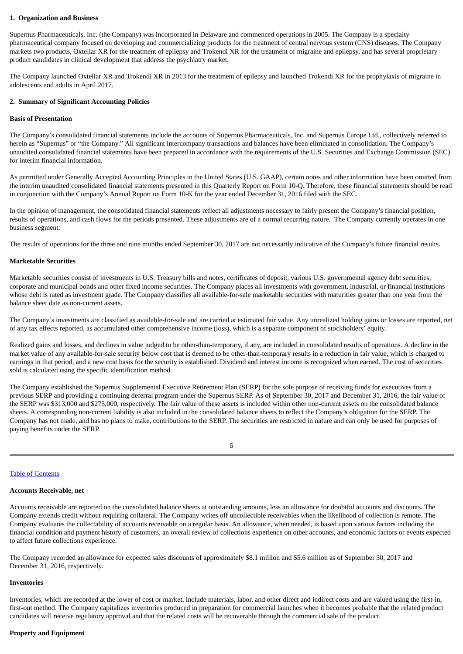### **1. Organization and Business**

Supernus Pharmaceuticals, Inc. (the Company) was incorporated in Delaware and commenced operations in 2005. The Company is a specialty pharmaceutical company focused on developing and commercializing products for the treatment of central nervous system (CNS) diseases. The Company markets two products, Oxtellar XR for the treatment of epilepsy and Trokendi XR for the treatment of migraine and epilepsy, and has several proprietary product candidates in clinical development that address the psychiatry market.

The Company launched Oxtellar XR and Trokendi XR in 2013 for the treatment of epilepsy and launched Trokendi XR for the prophylaxis of migraine in adolescents and adults in April 2017.

#### **2. Summary of Significant Accounting Policies**

#### **Basis of Presentation**

The Company's consolidated financial statements include the accounts of Supernus Pharmaceuticals, Inc. and Supernus Europe Ltd., collectively referred to herein as "Supernus" or "the Company." All significant intercompany transactions and balances have been eliminated in consolidation. The Company's unaudited consolidated financial statements have been prepared in accordance with the requirements of the U.S. Securities and Exchange Commission (SEC) for interim financial information.

As permitted under Generally Accepted Accounting Principles in the United States (U.S. GAAP), certain notes and other information have been omitted from the interim unaudited consolidated financial statements presented in this Quarterly Report on Form 10-Q. Therefore, these financial statements should be read in conjunction with the Company's Annual Report on Form 10-K for the year ended December 31, 2016 filed with the SEC.

In the opinion of management, the consolidated financial statements reflect all adjustments necessary to fairly present the Company's financial position, results of operations, and cash flows for the periods presented. These adjustments are of a normal recurring nature. The Company currently operates in one business segment.

The results of operations for the three and nine months ended September 30, 2017 are not necessarily indicative of the Company's future financial results.

#### **Marketable Securities**

Marketable securities consist of investments in U.S. Treasury bills and notes, certificates of deposit, various U.S. governmental agency debt securities, corporate and municipal bonds and other fixed income securities. The Company places all investments with government, industrial, or financial institutions whose debt is rated as investment grade. The Company classifies all available-for-sale marketable securities with maturities greater than one year from the balance sheet date as non-current assets.

The Company's investments are classified as available-for-sale and are carried at estimated fair value. Any unrealized holding gains or losses are reported, net of any tax effects reported, as accumulated other comprehensive income (loss), which is a separate component of stockholders' equity.

Realized gains and losses, and declines in value judged to be other-than-temporary, if any, are included in consolidated results of operations. A decline in the market value of any available-for-sale security below cost that is deemed to be other-than-temporary results in a reduction in fair value, which is charged to earnings in that period, and a new cost basis for the security is established. Dividend and interest income is recognized when earned. The cost of securities sold is calculated using the specific identification method.

The Company established the Supernus Supplemental Executive Retirement Plan (SERP) for the sole purpose of receiving funds for executives from a previous SERP and providing a continuing deferral program under the Supernus SERP. As of September 30, 2017 and December 31, 2016, the fair value of the SERP was \$313,000 and \$275,000, respectively. The fair value of these assets is included within other non-current assets on the consolidated balance sheets. A corresponding non-current liability is also included in the consolidated balance sheets to reflect the Company's obligation for the SERP. The Company has not made, and has no plans to make, contributions to the SERP. The securities are restricted in nature and can only be used for purposes of paying benefits under the SERP.

|   |   | _ |          |  |
|---|---|---|----------|--|
|   | × |   |          |  |
| × |   | v | ۰.<br>۰. |  |

# Table of [Contents](#page-0-0)

### **Accounts Receivable, net**

Accounts receivable are reported on the consolidated balance sheets at outstanding amounts, less an allowance for doubtful accounts and discounts. The Company extends credit without requiring collateral. The Company writes off uncollectible receivables when the likelihood of collection is remote. The Company evaluates the collectability of accounts receivable on a regular basis. An allowance, when needed, is based upon various factors including the financial condition and payment history of customers, an overall review of collections experience on other accounts, and economic factors or events expected to affect future collections experience.

The Company recorded an allowance for expected sales discounts of approximately \$8.1 million and \$5.6 million as of September 30, 2017 and December 31, 2016, respectively.

#### **Inventories**

Inventories, which are recorded at the lower of cost or market, include materials, labor, and other direct and indirect costs and are valued using the first-in, first-out method. The Company capitalizes inventories produced in preparation for commercial launches when it becomes probable that the related product candidates will receive regulatory approval and that the related costs will be recoverable through the commercial sale of the product.

#### **Property and Equipment**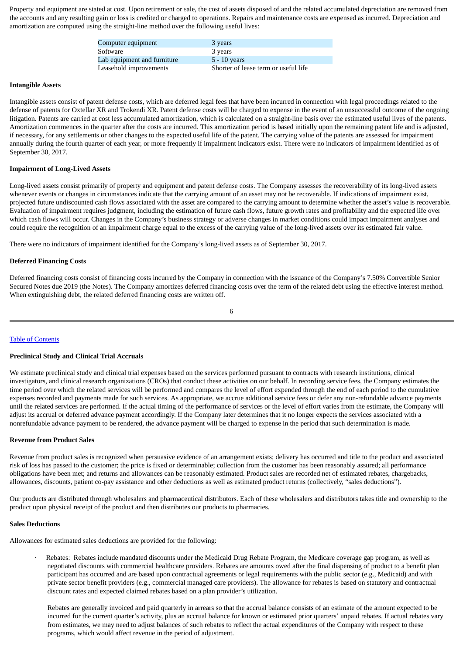Property and equipment are stated at cost. Upon retirement or sale, the cost of assets disposed of and the related accumulated depreciation are removed from the accounts and any resulting gain or loss is credited or charged to operations. Repairs and maintenance costs are expensed as incurred. Depreciation and amortization are computed using the straight-line method over the following useful lives:

| Computer equipment          | 3 years                              |
|-----------------------------|--------------------------------------|
| Software                    | 3 years                              |
| Lab equipment and furniture | 5 - 10 years                         |
| Leasehold improvements      | Shorter of lease term or useful life |
|                             |                                      |

### **Intangible Assets**

Intangible assets consist of patent defense costs, which are deferred legal fees that have been incurred in connection with legal proceedings related to the defense of patents for Oxtellar XR and Trokendi XR. Patent defense costs will be charged to expense in the event of an unsuccessful outcome of the ongoing litigation. Patents are carried at cost less accumulated amortization, which is calculated on a straight-line basis over the estimated useful lives of the patents. Amortization commences in the quarter after the costs are incurred. This amortization period is based initially upon the remaining patent life and is adjusted, if necessary, for any settlements or other changes to the expected useful life of the patent. The carrying value of the patents are assessed for impairment annually during the fourth quarter of each year, or more frequently if impairment indicators exist. There were no indicators of impairment identified as of September 30, 2017.

### **Impairment of Long-Lived Assets**

Long-lived assets consist primarily of property and equipment and patent defense costs. The Company assesses the recoverability of its long-lived assets whenever events or changes in circumstances indicate that the carrying amount of an asset may not be recoverable. If indications of impairment exist, projected future undiscounted cash flows associated with the asset are compared to the carrying amount to determine whether the asset's value is recoverable. Evaluation of impairment requires judgment, including the estimation of future cash flows, future growth rates and profitability and the expected life over which cash flows will occur. Changes in the Company's business strategy or adverse changes in market conditions could impact impairment analyses and could require the recognition of an impairment charge equal to the excess of the carrying value of the long-lived assets over its estimated fair value.

There were no indicators of impairment identified for the Company's long-lived assets as of September 30, 2017.

### **Deferred Financing Costs**

Deferred financing costs consist of financing costs incurred by the Company in connection with the issuance of the Company's 7.50% Convertible Senior Secured Notes due 2019 (the Notes). The Company amortizes deferred financing costs over the term of the related debt using the effective interest method. When extinguishing debt, the related deferred financing costs are written off.

$$
\boldsymbol{6}
$$

#### Table of [Contents](#page-0-0)

### **Preclinical Study and Clinical Trial Accruals**

We estimate preclinical study and clinical trial expenses based on the services performed pursuant to contracts with research institutions, clinical investigators, and clinical research organizations (CROs) that conduct these activities on our behalf. In recording service fees, the Company estimates the time period over which the related services will be performed and compares the level of effort expended through the end of each period to the cumulative expenses recorded and payments made for such services. As appropriate, we accrue additional service fees or defer any non-refundable advance payments until the related services are performed. If the actual timing of the performance of services or the level of effort varies from the estimate, the Company will adjust its accrual or deferred advance payment accordingly. If the Company later determines that it no longer expects the services associated with a nonrefundable advance payment to be rendered, the advance payment will be charged to expense in the period that such determination is made.

#### **Revenue from Product Sales**

Revenue from product sales is recognized when persuasive evidence of an arrangement exists; delivery has occurred and title to the product and associated risk of loss has passed to the customer; the price is fixed or determinable; collection from the customer has been reasonably assured; all performance obligations have been met; and returns and allowances can be reasonably estimated. Product sales are recorded net of estimated rebates, chargebacks, allowances, discounts, patient co-pay assistance and other deductions as well as estimated product returns (collectively, "sales deductions").

Our products are distributed through wholesalers and pharmaceutical distributors. Each of these wholesalers and distributors takes title and ownership to the product upon physical receipt of the product and then distributes our products to pharmacies.

#### **Sales Deductions**

Allowances for estimated sales deductions are provided for the following:

Rebates: Rebates include mandated discounts under the Medicaid Drug Rebate Program, the Medicare coverage gap program, as well as negotiated discounts with commercial healthcare providers. Rebates are amounts owed after the final dispensing of product to a benefit plan participant has occurred and are based upon contractual agreements or legal requirements with the public sector (e.g., Medicaid) and with private sector benefit providers (e.g., commercial managed care providers). The allowance for rebates is based on statutory and contractual discount rates and expected claimed rebates based on a plan provider's utilization.

Rebates are generally invoiced and paid quarterly in arrears so that the accrual balance consists of an estimate of the amount expected to be incurred for the current quarter's activity, plus an accrual balance for known or estimated prior quarters' unpaid rebates. If actual rebates vary from estimates, we may need to adjust balances of such rebates to reflect the actual expenditures of the Company with respect to these programs, which would affect revenue in the period of adjustment.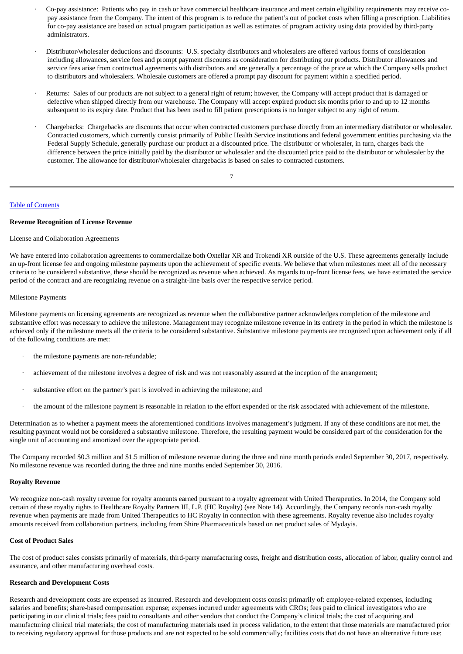- · Co-pay assistance: Patients who pay in cash or have commercial healthcare insurance and meet certain eligibility requirements may receive copay assistance from the Company. The intent of this program is to reduce the patient's out of pocket costs when filling a prescription. Liabilities for co-pay assistance are based on actual program participation as well as estimates of program activity using data provided by third-party administrators.
- Distributor/wholesaler deductions and discounts: U.S. specialty distributors and wholesalers are offered various forms of consideration including allowances, service fees and prompt payment discounts as consideration for distributing our products. Distributor allowances and service fees arise from contractual agreements with distributors and are generally a percentage of the price at which the Company sells product to distributors and wholesalers. Wholesale customers are offered a prompt pay discount for payment within a specified period.
- Returns: Sales of our products are not subject to a general right of return; however, the Company will accept product that is damaged or defective when shipped directly from our warehouse. The Company will accept expired product six months prior to and up to 12 months subsequent to its expiry date. Product that has been used to fill patient prescriptions is no longer subject to any right of return.
- · Chargebacks: Chargebacks are discounts that occur when contracted customers purchase directly from an intermediary distributor or wholesaler. Contracted customers, which currently consist primarily of Public Health Service institutions and federal government entities purchasing via the Federal Supply Schedule, generally purchase our product at a discounted price. The distributor or wholesaler, in turn, charges back the difference between the price initially paid by the distributor or wholesaler and the discounted price paid to the distributor or wholesaler by the customer. The allowance for distributor/wholesaler chargebacks is based on sales to contracted customers.

### 7

#### Table of [Contents](#page-0-0)

#### **Revenue Recognition of License Revenue**

#### License and Collaboration Agreements

We have entered into collaboration agreements to commercialize both Oxtellar XR and Trokendi XR outside of the U.S. These agreements generally include an up-front license fee and ongoing milestone payments upon the achievement of specific events. We believe that when milestones meet all of the necessary criteria to be considered substantive, these should be recognized as revenue when achieved. As regards to up-front license fees, we have estimated the service period of the contract and are recognizing revenue on a straight-line basis over the respective service period.

#### Milestone Payments

Milestone payments on licensing agreements are recognized as revenue when the collaborative partner acknowledges completion of the milestone and substantive effort was necessary to achieve the milestone. Management may recognize milestone revenue in its entirety in the period in which the milestone is achieved only if the milestone meets all the criteria to be considered substantive. Substantive milestone payments are recognized upon achievement only if all of the following conditions are met:

- the milestone payments are non-refundable;
- · achievement of the milestone involves a degree of risk and was not reasonably assured at the inception of the arrangement;
- · substantive effort on the partner's part is involved in achieving the milestone; and
- · the amount of the milestone payment is reasonable in relation to the effort expended or the risk associated with achievement of the milestone.

Determination as to whether a payment meets the aforementioned conditions involves management's judgment. If any of these conditions are not met, the resulting payment would not be considered a substantive milestone. Therefore, the resulting payment would be considered part of the consideration for the single unit of accounting and amortized over the appropriate period.

The Company recorded \$0.3 million and \$1.5 million of milestone revenue during the three and nine month periods ended September 30, 2017, respectively. No milestone revenue was recorded during the three and nine months ended September 30, 2016.

#### **Royalty Revenue**

We recognize non-cash royalty revenue for royalty amounts earned pursuant to a royalty agreement with United Therapeutics. In 2014, the Company sold certain of these royalty rights to Healthcare Royalty Partners III, L.P. (HC Royalty) (see Note 14). Accordingly, the Company records non-cash royalty revenue when payments are made from United Therapeutics to HC Royalty in connection with these agreements. Royalty revenue also includes royalty amounts received from collaboration partners, including from Shire Pharmaceuticals based on net product sales of Mydayis.

### **Cost of Product Sales**

The cost of product sales consists primarily of materials, third-party manufacturing costs, freight and distribution costs, allocation of labor, quality control and assurance, and other manufacturing overhead costs.

#### **Research and Development Costs**

Research and development costs are expensed as incurred. Research and development costs consist primarily of: employee-related expenses, including salaries and benefits; share-based compensation expense; expenses incurred under agreements with CROs; fees paid to clinical investigators who are participating in our clinical trials; fees paid to consultants and other vendors that conduct the Company's clinical trials; the cost of acquiring and manufacturing clinical trial materials; the cost of manufacturing materials used in process validation, to the extent that those materials are manufactured prior to receiving regulatory approval for those products and are not expected to be sold commercially; facilities costs that do not have an alternative future use;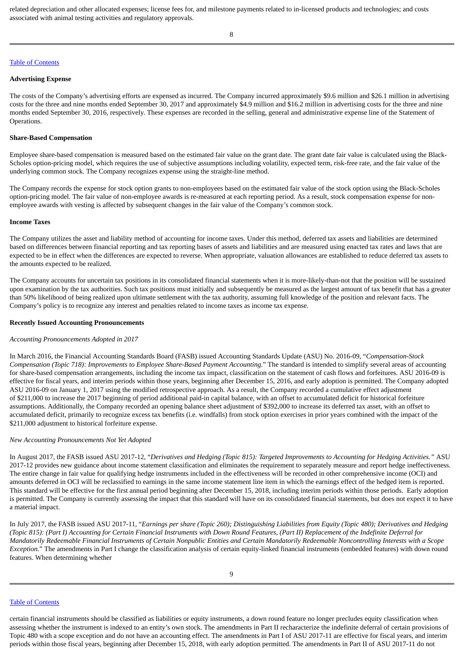related depreciation and other allocated expenses; license fees for, and milestone payments related to in-licensed products and technologies; and costs associated with animal testing activities and regulatory approvals.

# Table of [Contents](#page-0-0)

# **Advertising Expense**

The costs of the Company's advertising efforts are expensed as incurred. The Company incurred approximately \$9.6 million and \$26.1 million in advertising costs for the three and nine months ended September 30, 2017 and approximately \$4.9 million and \$16.2 million in advertising costs for the three and nine months ended September 30, 2016, respectively. These expenses are recorded in the selling, general and administrative expense line of the Statement of Operations.

### **Share-Based Compensation**

Employee share-based compensation is measured based on the estimated fair value on the grant date. The grant date fair value is calculated using the Black-Scholes option-pricing model, which requires the use of subjective assumptions including volatility, expected term, risk-free rate, and the fair value of the underlying common stock. The Company recognizes expense using the straight-line method.

The Company records the expense for stock option grants to non-employees based on the estimated fair value of the stock option using the Black-Scholes option-pricing model. The fair value of non-employee awards is re-measured at each reporting period. As a result, stock compensation expense for nonemployee awards with vesting is affected by subsequent changes in the fair value of the Company's common stock.

### **Income Taxes**

The Company utilizes the asset and liability method of accounting for income taxes. Under this method, deferred tax assets and liabilities are determined based on differences between financial reporting and tax reporting bases of assets and liabilities and are measured using enacted tax rates and laws that are expected to be in effect when the differences are expected to reverse. When appropriate, valuation allowances are established to reduce deferred tax assets to the amounts expected to be realized.

The Company accounts for uncertain tax positions in its consolidated financial statements when it is more-likely-than-not that the position will be sustained upon examination by the tax authorities. Such tax positions must initially and subsequently be measured as the largest amount of tax benefit that has a greater than 50% likelihood of being realized upon ultimate settlement with the tax authority, assuming full knowledge of the position and relevant facts. The Company's policy is to recognize any interest and penalties related to income taxes as income tax expense.

### **Recently Issued Accounting Pronouncements**

### *Accounting Pronouncements Adopted in 2017*

In March 2016, the Financial Accounting Standards Board (FASB) issued Accounting Standards Update (ASU) No. 2016-09, "*Compensation-Stock Compensation (Topic 718): Improvements to Employee Share-Based Payment Accounting*." The standard is intended to simplify several areas of accounting for share-based compensation arrangements, including the income tax impact, classification on the statement of cash flows and forfeitures. ASU 2016-09 is effective for fiscal years, and interim periods within those years, beginning after December 15, 2016, and early adoption is permitted. The Company adopted ASU 2016-09 on January 1, 2017 using the modified retrospective approach. As a result, the Company recorded a cumulative effect adjustment of \$211,000 to increase the 2017 beginning of period additional paid-in capital balance, with an offset to accumulated deficit for historical forfeiture assumptions. Additionally, the Company recorded an opening balance sheet adjustment of \$392,000 to increase its deferred tax asset, with an offset to accumulated deficit, primarily to recognize excess tax benefits (i.e. windfalls) from stock option exercises in prior years combined with the impact of the \$211,000 adjustment to historical forfeiture expense.

### *New Accounting Pronouncements Not Yet Adopted*

In August 2017, the FASB issued ASU 2017-12, "Derivatives and Hedging (Topic 815): Targeted Improvements to Accounting for Hedging Activities." ASU 2017-12 provides new guidance about income statement classification and eliminates the requirement to separately measure and report hedge ineffectiveness. The entire change in fair value for qualifying hedge instruments included in the effectiveness will be recorded in other comprehensive income (OCI) and amounts deferred in OCI will be reclassified to earnings in the same income statement line item in which the earnings effect of the hedged item is reported. This standard will be effective for the first annual period beginning after December 15, 2018, including interim periods within those periods. Early adoption is permitted. The Company is currently assessing the impact that this standard will have on its consolidated financial statements, but does not expect it to have a material impact.

In July 2017, the FASB issued ASU 2017-11, "Earnings per share (Topic 260); Distinguishing Liabilities from Equity (Topic 480); Derivatives and Hedging (Topic 815): (Part I) Accounting for Certain Financial Instruments with Down Round Features, (Part II) Replacement of the Indefinite Deferral for Mandatorily Redeemable Financial Instruments of Certain Nonpublic Entities and Certain Mandatorily Redeemable Noncontrolling Interests with a Scope *Exception.*" The amendments in Part I change the classification analysis of certain equity-linked financial instruments (embedded features) with down round features. When determining whether

# Table of [Contents](#page-0-0)

certain financial instruments should be classified as liabilities or equity instruments, a down round feature no longer precludes equity classification when assessing whether the instrument is indexed to an entity's own stock. The amendments in Part II recharacterize the indefinite deferral of certain provisions of Topic 480 with a scope exception and do not have an accounting effect. The amendments in Part I of ASU 2017-11 are effective for fiscal years, and interim periods within those fiscal years, beginning after December 15, 2018, with early adoption permitted. The amendments in Part II of ASU 2017-11 do not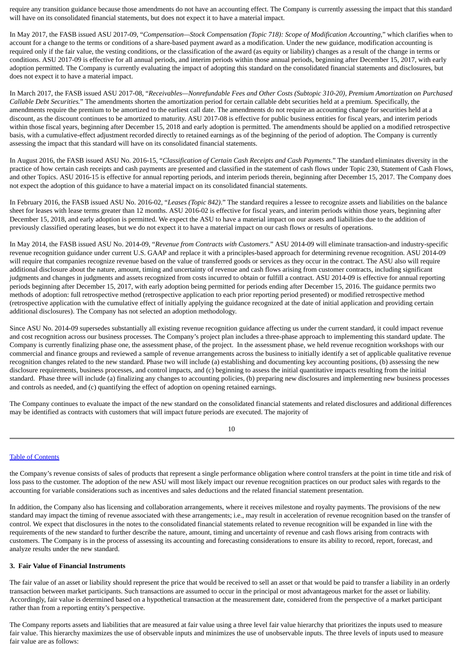require any transition guidance because those amendments do not have an accounting effect. The Company is currently assessing the impact that this standard will have on its consolidated financial statements, but does not expect it to have a material impact.

In May 2017, the FASB issued ASU 2017-09, "*Compensation—Stock Compensation (Topic 718): Scope of Modification Accounting,*" which clarifies when to account for a change to the terms or conditions of a share-based payment award as a modification. Under the new guidance, modification accounting is required only if the fair value, the vesting conditions, or the classification of the award (as equity or liability) changes as a result of the change in terms or conditions. ASU 2017-09 is effective for all annual periods, and interim periods within those annual periods, beginning after December 15, 2017, with early adoption permitted. The Company is currently evaluating the impact of adopting this standard on the consolidated financial statements and disclosures, but does not expect it to have a material impact.

In March 2017, the FASB issued ASU 2017-08, "*Receivables—Nonrefundable Fees and Other Costs (Subtopic 310-20), Premium Amortization on Purchased Callable Debt Securities.*" The amendments shorten the amortization period for certain callable debt securities held at a premium. Specifically, the amendments require the premium to be amortized to the earliest call date. The amendments do not require an accounting change for securities held at a discount, as the discount continues to be amortized to maturity. ASU 2017-08 is effective for public business entities for fiscal years, and interim periods within those fiscal years, beginning after December 15, 2018 and early adoption is permitted. The amendments should be applied on a modified retrospective basis, with a cumulative-effect adjustment recorded directly to retained earnings as of the beginning of the period of adoption. The Company is currently assessing the impact that this standard will have on its consolidated financial statements.

In August 2016, the FASB issued ASU No. 2016-15, "*Classification of Certain Cash Receipts and Cash Payments*." The standard eliminates diversity in the practice of how certain cash receipts and cash payments are presented and classified in the statement of cash flows under Topic 230, Statement of Cash Flows, and other Topics. ASU 2016-15 is effective for annual reporting periods, and interim periods therein, beginning after December 15, 2017. The Company does not expect the adoption of this guidance to have a material impact on its consolidated financial statements.

In February 2016, the FASB issued ASU No. 2016-02, "*Leases (Topic 842)*." The standard requires a lessee to recognize assets and liabilities on the balance sheet for leases with lease terms greater than 12 months. ASU 2016-02 is effective for fiscal years, and interim periods within those years, beginning after December 15, 2018, and early adoption is permitted. We expect the ASU to have a material impact on our assets and liabilities due to the addition of previously classified operating leases, but we do not expect it to have a material impact on our cash flows or results of operations.

In May 2014, the FASB issued ASU No. 2014-09, "*Revenue from Contracts with Customers*." ASU 2014-09 will eliminate transaction-and industry-specific revenue recognition guidance under current U.S. GAAP and replace it with a principles-based approach for determining revenue recognition. ASU 2014-09 will require that companies recognize revenue based on the value of transferred goods or services as they occur in the contract. The ASU also will require additional disclosure about the nature, amount, timing and uncertainty of revenue and cash flows arising from customer contracts, including significant judgments and changes in judgments and assets recognized from costs incurred to obtain or fulfill a contract. ASU 2014-09 is effective for annual reporting periods beginning after December 15, 2017, with early adoption being permitted for periods ending after December 15, 2016. The guidance permits two methods of adoption: full retrospective method (retrospective application to each prior reporting period presented) or modified retrospective method (retrospective application with the cumulative effect of initially applying the guidance recognized at the date of initial application and providing certain additional disclosures). The Company has not selected an adoption methodology.

Since ASU No. 2014-09 supersedes substantially all existing revenue recognition guidance affecting us under the current standard, it could impact revenue and cost recognition across our business processes. The Company's project plan includes a three-phase approach to implementing this standard update. The Company is currently finalizing phase one, the assessment phase, of the project. In the assessment phase, we held revenue recognition workshops with our commercial and finance groups and reviewed a sample of revenue arrangements across the business to initially identify a set of applicable qualitative revenue recognition changes related to the new standard. Phase two will include (a) establishing and documenting key accounting positions, (b) assessing the new disclosure requirements, business processes, and control impacts, and (c) beginning to assess the initial quantitative impacts resulting from the initial standard. Phase three will include (a) finalizing any changes to accounting policies, (b) preparing new disclosures and implementing new business processes and controls as needed, and (c) quantifying the effect of adoption on opening retained earnings.

The Company continues to evaluate the impact of the new standard on the consolidated financial statements and related disclosures and additional differences may be identified as contracts with customers that will impact future periods are executed. The majority of

# 10

### Table of [Contents](#page-0-0)

the Company's revenue consists of sales of products that represent a single performance obligation where control transfers at the point in time title and risk of loss pass to the customer. The adoption of the new ASU will most likely impact our revenue recognition practices on our product sales with regards to the accounting for variable considerations such as incentives and sales deductions and the related financial statement presentation.

In addition, the Company also has licensing and collaboration arrangements, where it receives milestone and royalty payments. The provisions of the new standard may impact the timing of revenue associated with these arrangements; i.e., may result in acceleration of revenue recognition based on the transfer of control. We expect that disclosures in the notes to the consolidated financial statements related to revenue recognition will be expanded in line with the requirements of the new standard to further describe the nature, amount, timing and uncertainty of revenue and cash flows arising from contracts with customers. The Company is in the process of assessing its accounting and forecasting considerations to ensure its ability to record, report, forecast, and analyze results under the new standard.

### **3. Fair Value of Financial Instruments**

The fair value of an asset or liability should represent the price that would be received to sell an asset or that would be paid to transfer a liability in an orderly transaction between market participants. Such transactions are assumed to occur in the principal or most advantageous market for the asset or liability. Accordingly, fair value is determined based on a hypothetical transaction at the measurement date, considered from the perspective of a market participant rather than from a reporting entity's perspective.

The Company reports assets and liabilities that are measured at fair value using a three level fair value hierarchy that prioritizes the inputs used to measure fair value. This hierarchy maximizes the use of observable inputs and minimizes the use of unobservable inputs. The three levels of inputs used to measure fair value are as follows: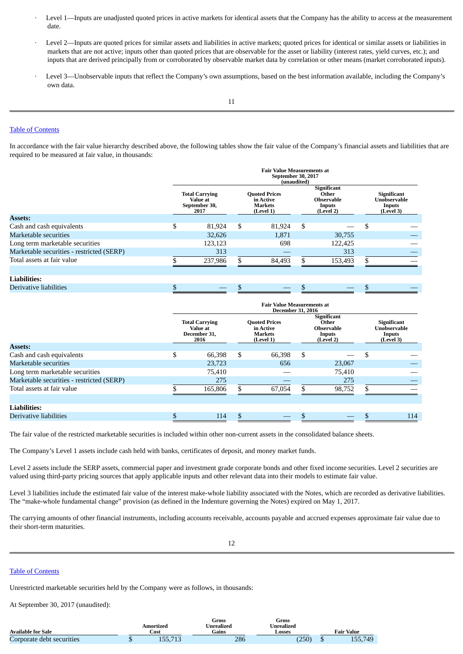- Level 1—Inputs are unadjusted quoted prices in active markets for identical assets that the Company has the ability to access at the measurement date.
- Level 2—Inputs are quoted prices for similar assets and liabilities in active markets; quoted prices for identical or similar assets or liabilities in markets that are not active; inputs other than quoted prices that are observable for the asset or liability (interest rates, yield curves, etc.); and inputs that are derived principally from or corroborated by observable market data by correlation or other means (market corroborated inputs).
- Level 3—Unobservable inputs that reflect the Company's own assumptions, based on the best information available, including the Company's own data.

### Table of [Contents](#page-0-0)

In accordance with the fair value hierarchy described above, the following tables show the fair value of the Company's financial assets and liabilities that are required to be measured at fair value, in thousands:

|                                           | <b>Fair Value Measurements at</b><br>September 30, 2017<br>(unaudited) |    |                                                                  |    |                                                                         |                                                           |  |  |  |  |  |
|-------------------------------------------|------------------------------------------------------------------------|----|------------------------------------------------------------------|----|-------------------------------------------------------------------------|-----------------------------------------------------------|--|--|--|--|--|
|                                           | <b>Total Carrying</b><br>Value at<br>September 30,<br>2017             |    | <b>Quoted Prices</b><br>in Active<br><b>Markets</b><br>(Level 1) |    | <b>Significant</b><br>Other<br><b>Observable</b><br>Inputs<br>(Level 2) | <b>Significant</b><br>Unobservable<br>Inputs<br>(Level 3) |  |  |  |  |  |
| <b>Assets:</b>                            |                                                                        |    |                                                                  |    |                                                                         |                                                           |  |  |  |  |  |
| Cash and cash equivalents                 | \$<br>81,924                                                           | \$ | 81,924                                                           | \$ |                                                                         | \$                                                        |  |  |  |  |  |
| Marketable securities                     | 32,626                                                                 |    | 1,871                                                            |    | 30,755                                                                  |                                                           |  |  |  |  |  |
| Long term marketable securities           | 123,123                                                                |    | 698                                                              |    | 122,425                                                                 |                                                           |  |  |  |  |  |
| Marketable securities - restricted (SERP) | 313                                                                    |    |                                                                  |    | 313                                                                     |                                                           |  |  |  |  |  |
| Total assets at fair value                | 237,986                                                                |    | 84,493                                                           |    | 153,493                                                                 |                                                           |  |  |  |  |  |
|                                           |                                                                        |    |                                                                  |    |                                                                         |                                                           |  |  |  |  |  |
| <b>Liabilities:</b>                       |                                                                        |    |                                                                  |    |                                                                         |                                                           |  |  |  |  |  |
| Derivative liabilities                    |                                                                        |    |                                                                  |    |                                                                         |                                                           |  |  |  |  |  |

|                                           |    | <b>Fair Value Measurements at</b><br><b>December 31, 2016</b> |     |                                                                  |    |                                                                  |     |                                                    |  |  |  |  |
|-------------------------------------------|----|---------------------------------------------------------------|-----|------------------------------------------------------------------|----|------------------------------------------------------------------|-----|----------------------------------------------------|--|--|--|--|
|                                           |    | <b>Total Carrying</b><br>Value at<br>December 31.<br>2016     |     | <b>Quoted Prices</b><br>in Active<br><b>Markets</b><br>(Level 1) |    | <b>Significant</b><br>Other<br>Observable<br>Inputs<br>(Level 2) |     | Significant<br>Unobservable<br>Inputs<br>(Level 3) |  |  |  |  |
| <b>Assets:</b>                            |    |                                                               |     |                                                                  |    |                                                                  |     |                                                    |  |  |  |  |
| Cash and cash equivalents                 | ъ. | 66,398                                                        | \$  | 66.398                                                           | \$ |                                                                  | \$. |                                                    |  |  |  |  |
| Marketable securities                     |    | 23.723                                                        |     | 656                                                              |    | 23,067                                                           |     |                                                    |  |  |  |  |
| Long term marketable securities           |    | 75,410                                                        |     |                                                                  |    | 75,410                                                           |     |                                                    |  |  |  |  |
| Marketable securities - restricted (SERP) |    | 275                                                           |     |                                                                  |    | 275                                                              |     |                                                    |  |  |  |  |
| Total assets at fair value                |    | 165,806                                                       |     | 67,054                                                           |    | 98,752                                                           |     |                                                    |  |  |  |  |
|                                           |    |                                                               |     |                                                                  |    |                                                                  |     |                                                    |  |  |  |  |
| <b>Liabilities:</b>                       |    |                                                               |     |                                                                  |    |                                                                  |     |                                                    |  |  |  |  |
| Derivative liabilities                    |    | 114                                                           | \$. |                                                                  |    |                                                                  |     | 114                                                |  |  |  |  |

The fair value of the restricted marketable securities is included within other non-current assets in the consolidated balance sheets.

The Company's Level 1 assets include cash held with banks, certificates of deposit, and money market funds.

Level 2 assets include the SERP assets, commercial paper and investment grade corporate bonds and other fixed income securities. Level 2 securities are valued using third-party pricing sources that apply applicable inputs and other relevant data into their models to estimate fair value.

Level 3 liabilities include the estimated fair value of the interest make-whole liability associated with the Notes, which are recorded as derivative liabilities. The "make-whole fundamental change" provision (as defined in the Indenture governing the Notes) expired on May 1, 2017.

The carrying amounts of other financial instruments, including accounts receivable, accounts payable and accrued expenses approximate fair value due to their short-term maturities.

12

### Table of [Contents](#page-0-0)

Unrestricted marketable securities held by the Company were as follows, in thousands:

At September 30, 2017 (unaudited):

|                           |   | Amortized       | Gross<br>Unrealized | Gross<br><b>Unrealized</b> |   |                   |
|---------------------------|---|-----------------|---------------------|----------------------------|---|-------------------|
| <b>Available for Sale</b> |   | Cost            | Gains               | Losses                     |   | <b>Fair Value</b> |
| Corporate debt securities | ш | כ 71<br>100.710 | 286                 | (250)                      | D | 155,749           |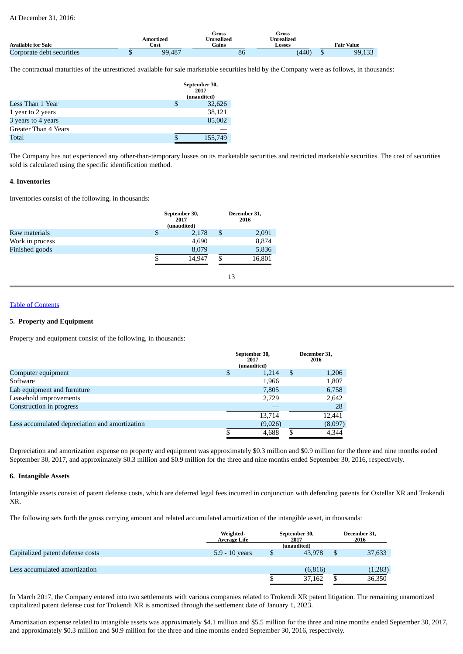At December 31, 2016:

| <b>Available for Sale</b> | Amortized<br>Cost | Gross<br>Unrealized<br>Gains | Gross<br>Unrealized<br>$\pm$ 0SSes | Fair Value |
|---------------------------|-------------------|------------------------------|------------------------------------|------------|
| Corporate debt securities | 99,487            | 86                           | (440)                              | 99,133     |

The contractual maturities of the unrestricted available for sale marketable securities held by the Company were as follows, in thousands:

|                             | September 30,<br>2017<br>(unaudited) |
|-----------------------------|--------------------------------------|
| Less Than 1 Year            | 32,626                               |
| 1 year to 2 years           | 38,121                               |
| 3 years to 4 years          | 85,002                               |
| <b>Greater Than 4 Years</b> |                                      |
| Total                       | 155,749                              |

The Company has not experienced any other-than-temporary losses on its marketable securities and restricted marketable securities. The cost of securities sold is calculated using the specific identification method.

### **4. Inventories**

Inventories consist of the following, in thousands:

|                 | September 30,<br>2017<br>(unaudited) | December 31,<br>2016 |
|-----------------|--------------------------------------|----------------------|
| Raw materials   | 2,178                                | \$<br>2,091          |
| Work in process | 4,690                                | 8,874                |
| Finished goods  | 8,079                                | 5,836                |
|                 | 14,947                               | 16,801               |

13

### Table of [Contents](#page-0-0)

### **5. Property and Equipment**

Property and equipment consist of the following, in thousands:

|             |                                      | December 31,<br>2016 |
|-------------|--------------------------------------|----------------------|
| \$<br>1,214 | S                                    | 1,206                |
| 1,966       |                                      | 1,807                |
| 7,805       |                                      | 6,758                |
| 2,729       |                                      | 2,642                |
|             |                                      | 28                   |
| 13.714      |                                      | 12,441               |
| (9,026)     |                                      | (8,097)              |
| 4,688       |                                      | 4,344                |
|             | September 30,<br>2017<br>(unaudited) |                      |

Depreciation and amortization expense on property and equipment was approximately \$0.3 million and \$0.9 million for the three and nine months ended September 30, 2017, and approximately \$0.3 million and \$0.9 million for the three and nine months ended September 30, 2016, respectively.

### **6. Intangible Assets**

Intangible assets consist of patent defense costs, which are deferred legal fees incurred in conjunction with defending patents for Oxtellar XR and Trokendi XR.

The following sets forth the gross carrying amount and related accumulated amortization of the intangible asset, in thousands:

|                                  | Weighted-<br>Average Life | September 30,<br>2017 | December 31,<br>2016 |
|----------------------------------|---------------------------|-----------------------|----------------------|
|                                  |                           | (unaudited)           |                      |
| Capitalized patent defense costs | $5.9 - 10$ years          | 43,978                | 37,633               |
|                                  |                           |                       |                      |
| Less accumulated amortization    |                           | (6, 816)              | (1,283)              |
|                                  |                           | 37,162                | 36,350               |

In March 2017, the Company entered into two settlements with various companies related to Trokendi XR patent litigation. The remaining unamortized capitalized patent defense cost for Trokendi XR is amortized through the settlement date of January 1, 2023.

Amortization expense related to intangible assets was approximately \$4.1 million and \$5.5 million for the three and nine months ended September 30, 2017, and approximately \$0.3 million and \$0.9 million for the three and nine months ended September 30, 2016, respectively.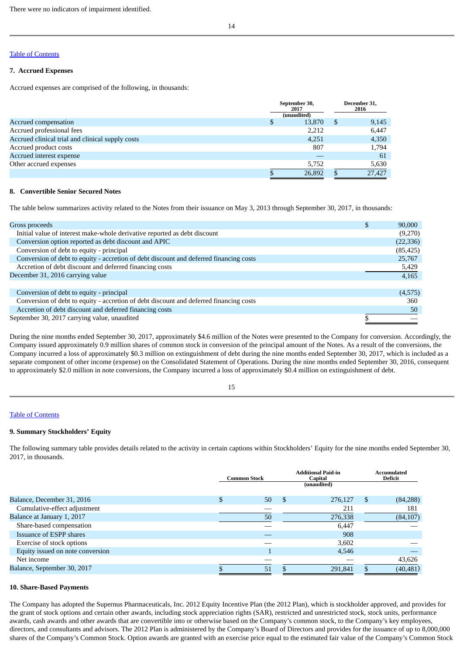### Table of [Contents](#page-0-0)

### **7. Accrued Expenses**

Accrued expenses are comprised of the following, in thousands:

|                                                  | September 30,<br>2017<br>(unaudited) |   | December 31,<br>2016 |
|--------------------------------------------------|--------------------------------------|---|----------------------|
| Accrued compensation                             | 13,870                               | S | 9,145                |
| Accrued professional fees                        | 2,212                                |   | 6,447                |
| Accrued clinical trial and clinical supply costs | 4,251                                |   | 4,350                |
| Accrued product costs                            | 807                                  |   | 1,794                |
| Accrued interest expense                         |                                      |   | 61                   |
| Other accrued expenses                           | 5,752                                |   | 5,630                |
|                                                  | 26,892                               |   | 27,427               |

### **8. Convertible Senior Secured Notes**

The table below summarizes activity related to the Notes from their issuance on May 3, 2013 through September 30, 2017, in thousands:

| Gross proceeds<br>Initial value of interest make-whole derivative reported as debt discount<br>Conversion option reported as debt discount and APIC<br>Conversion of debt to equity - principal<br>Conversion of debt to equity - accretion of debt discount and deferred financing costs<br>Accretion of debt discount and deferred financing costs<br>December 31, 2016 carrying value<br>Conversion of debt to equity - principal<br>Conversion of debt to equity - accretion of debt discount and deferred financing costs<br>Accretion of debt discount and deferred financing costs<br>September 30, 2017 carrying value, unaudited |           |
|-------------------------------------------------------------------------------------------------------------------------------------------------------------------------------------------------------------------------------------------------------------------------------------------------------------------------------------------------------------------------------------------------------------------------------------------------------------------------------------------------------------------------------------------------------------------------------------------------------------------------------------------|-----------|
|                                                                                                                                                                                                                                                                                                                                                                                                                                                                                                                                                                                                                                           | 90,000    |
|                                                                                                                                                                                                                                                                                                                                                                                                                                                                                                                                                                                                                                           | (9,270)   |
|                                                                                                                                                                                                                                                                                                                                                                                                                                                                                                                                                                                                                                           | (22, 336) |
|                                                                                                                                                                                                                                                                                                                                                                                                                                                                                                                                                                                                                                           | (85, 425) |
|                                                                                                                                                                                                                                                                                                                                                                                                                                                                                                                                                                                                                                           | 25,767    |
|                                                                                                                                                                                                                                                                                                                                                                                                                                                                                                                                                                                                                                           | 5,429     |
|                                                                                                                                                                                                                                                                                                                                                                                                                                                                                                                                                                                                                                           | 4.165     |
|                                                                                                                                                                                                                                                                                                                                                                                                                                                                                                                                                                                                                                           |           |
|                                                                                                                                                                                                                                                                                                                                                                                                                                                                                                                                                                                                                                           | (4,575)   |
|                                                                                                                                                                                                                                                                                                                                                                                                                                                                                                                                                                                                                                           | 360       |
|                                                                                                                                                                                                                                                                                                                                                                                                                                                                                                                                                                                                                                           | 50        |
|                                                                                                                                                                                                                                                                                                                                                                                                                                                                                                                                                                                                                                           |           |

During the nine months ended September 30, 2017, approximately \$4.6 million of the Notes were presented to the Company for conversion. Accordingly, the Company issued approximately 0.9 million shares of common stock in conversion of the principal amount of the Notes. As a result of the conversions, the Company incurred a loss of approximately \$0.3 million on extinguishment of debt during the nine months ended September 30, 2017, which is included as a separate component of other income (expense) on the Consolidated Statement of Operations. During the nine months ended September 30, 2016, consequent to approximately \$2.0 million in note conversions, the Company incurred a loss of approximately \$0.4 million on extinguishment of debt.

| ×<br>v |
|--------|
|--------|

# Table of [Contents](#page-0-0)

# **9. Summary Stockholders' Equity**

The following summary table provides details related to the activity in certain captions within Stockholders' Equity for the nine months ended September 30, 2017, in thousands.

|                                  | <b>Common Stock</b> | <b>Additional Paid-in</b><br>Capital<br>(unaudited) |     | <b>Accumulated</b><br>Deficit |
|----------------------------------|---------------------|-----------------------------------------------------|-----|-------------------------------|
|                                  |                     |                                                     |     |                               |
| Balance, December 31, 2016       | \$<br>50            | \$<br>276,127                                       | \$. | (84, 288)                     |
| Cumulative-effect adjustment     |                     | 211                                                 |     | 181                           |
| Balance at January 1, 2017       | 50                  | 276,338                                             |     | (84, 107)                     |
| Share-based compensation         |                     | 6.447                                               |     |                               |
| Issuance of ESPP shares          |                     | 908                                                 |     |                               |
| Exercise of stock options        |                     | 3,602                                               |     |                               |
| Equity issued on note conversion |                     | 4,546                                               |     |                               |
| Net income                       |                     |                                                     |     | 43,626                        |
| Balance, September 30, 2017      | 51                  | 291,841                                             |     | (40, 481)                     |

# **10. Share-Based Payments**

The Company has adopted the Supernus Pharmaceuticals, Inc. 2012 Equity Incentive Plan (the 2012 Plan), which is stockholder approved, and provides for the grant of stock options and certain other awards, including stock appreciation rights (SAR), restricted and unrestricted stock, stock units, performance awards, cash awards and other awards that are convertible into or otherwise based on the Company's common stock, to the Company's key employees, directors, and consultants and advisors. The 2012 Plan is administered by the Company's Board of Directors and provides for the issuance of up to 8,000,000 shares of the Company's Common Stock. Option awards are granted with an exercise price equal to the estimated fair value of the Company's Common Stock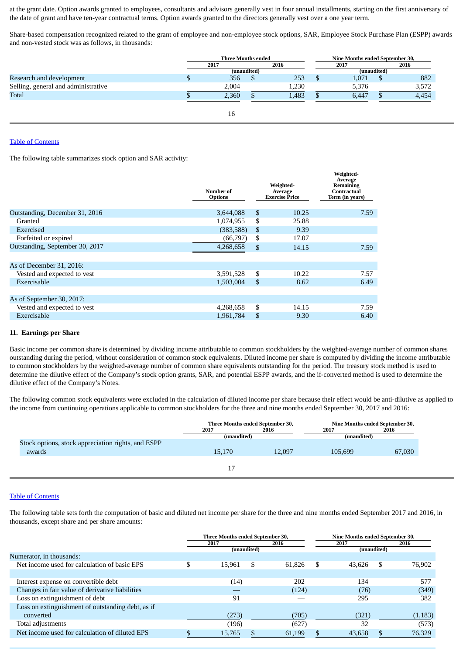at the grant date. Option awards granted to employees, consultants and advisors generally vest in four annual installments, starting on the first anniversary of the date of grant and have ten-year contractual terms. Option awards granted to the directors generally vest over a one year term.

Share-based compensation recognized related to the grant of employee and non-employee stock options, SAR, Employee Stock Purchase Plan (ESPP) awards and non-vested stock was as follows, in thousands:

| 2016  | 2017  | (unaudited) | 2016           |
|-------|-------|-------------|----------------|
|       |       |             |                |
|       |       |             |                |
| 253   | 1,071 |             | 882            |
| 1,230 |       |             | 3,572          |
| 1,483 |       |             | 4.454          |
|       |       |             | 5,376<br>6.447 |

**Weighted-**

### Table of [Contents](#page-0-0)

The following table summarizes stock option and SAR activity:

|                                 | Number of<br><b>Options</b> |                           | Weighted-<br>Average<br><b>Exercise Price</b> | Average<br>Remaining<br>Contractual<br>Term (in years) |
|---------------------------------|-----------------------------|---------------------------|-----------------------------------------------|--------------------------------------------------------|
| Outstanding, December 31, 2016  | 3,644,088                   | $\boldsymbol{\mathsf{S}}$ | 10.25                                         | 7.59                                                   |
| Granted                         | 1,074,955                   | \$                        | 25.88                                         |                                                        |
| Exercised                       | (383,588)                   | \$                        | 9.39                                          |                                                        |
| Forfeited or expired            | (66,797)                    | \$                        | 17.07                                         |                                                        |
| Outstanding, September 30, 2017 | 4,268,658                   | \$                        | 14.15                                         | 7.59                                                   |
| As of December 31, 2016:        |                             |                           |                                               |                                                        |
| Vested and expected to vest     | 3,591,528                   | \$                        | 10.22                                         | 7.57                                                   |
| Exercisable                     | 1,503,004                   | \$                        | 8.62                                          | 6.49                                                   |
|                                 |                             |                           |                                               |                                                        |
| As of September 30, 2017:       |                             |                           |                                               |                                                        |
| Vested and expected to vest     | 4,268,658                   | \$                        | 14.15                                         | 7.59                                                   |
| Exercisable                     | 1,961,784                   | \$                        | 9.30                                          | 6.40                                                   |

#### **11. Earnings per Share**

Basic income per common share is determined by dividing income attributable to common stockholders by the weighted-average number of common shares outstanding during the period, without consideration of common stock equivalents. Diluted income per share is computed by dividing the income attributable to common stockholders by the weighted-average number of common share equivalents outstanding for the period. The treasury stock method is used to determine the dilutive effect of the Company's stock option grants, SAR, and potential ESPP awards, and the if-converted method is used to determine the dilutive effect of the Company's Notes.

The following common stock equivalents were excluded in the calculation of diluted income per share because their effect would be anti-dilutive as applied to the income from continuing operations applicable to common stockholders for the three and nine months ended September 30, 2017 and 2016:

|                                                    | Three Months ended September 30, |        | Nine Months ended September 30, |        |  |
|----------------------------------------------------|----------------------------------|--------|---------------------------------|--------|--|
|                                                    | 2017                             | 2016   | 2017                            | 2016   |  |
|                                                    | (unaudited)                      |        | (unaudited)                     |        |  |
| Stock options, stock appreciation rights, and ESPP |                                  |        |                                 |        |  |
| awards                                             | 15,170                           | 12,097 | 105,699                         | 67,030 |  |
|                                                    |                                  |        |                                 |        |  |
|                                                    | 17                               |        |                                 |        |  |

### Table of [Contents](#page-0-0)

The following table sets forth the computation of basic and diluted net income per share for the three and nine months ended September 2017 and 2016, in thousands, except share and per share amounts:

|                                                   | Three Months ended September 30, |        | Nine Months ended September 30, |   |          |
|---------------------------------------------------|----------------------------------|--------|---------------------------------|---|----------|
|                                                   | 2017                             | 2016   | 2017                            |   | 2016     |
|                                                   | (unaudited)                      |        | (unaudited)                     |   |          |
| Numerator, in thousands:                          |                                  |        |                                 |   |          |
| Net income used for calculation of basic EPS      | 15.961                           | 61,826 | \$<br>43,626                    | S | 76.902   |
|                                                   |                                  |        |                                 |   |          |
| Interest expense on convertible debt              | (14)                             | 202    | 134                             |   | 577      |
| Changes in fair value of derivative liabilities   |                                  | (124)  | (76)                            |   | (349)    |
| Loss on extinguishment of debt                    | 91                               |        | 295                             |   | 382      |
| Loss on extinguishment of outstanding debt, as if |                                  |        |                                 |   |          |
| converted                                         | (273)                            | (705)  | (321)                           |   | (1, 183) |
| Total adjustments                                 | (196)                            | (627   | 32                              |   | (573)    |
| Net income used for calculation of diluted EPS    | 15,765                           | 61,199 | 43,658                          |   | 76,329   |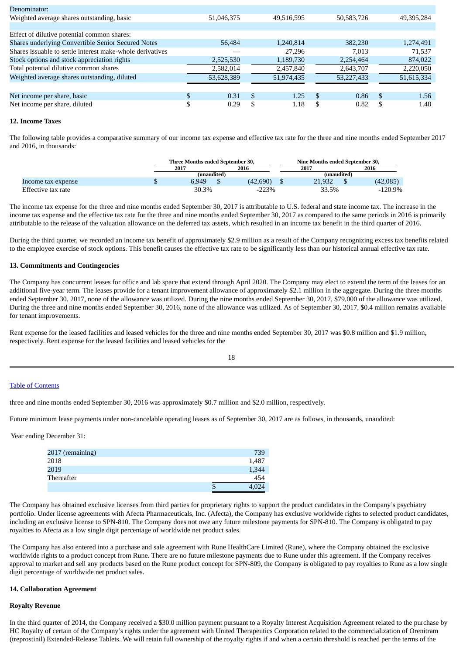| Denominator:                                              |            |               |            |               |            |    |            |
|-----------------------------------------------------------|------------|---------------|------------|---------------|------------|----|------------|
| Weighted average shares outstanding, basic                | 51,046,375 |               | 49,516,595 |               | 50,583,726 |    | 49,395,284 |
|                                                           |            |               |            |               |            |    |            |
| Effect of dilutive potential common shares:               |            |               |            |               |            |    |            |
| Shares underlying Convertible Senior Secured Notes        | 56,484     |               | 1,240,814  |               | 382,230    |    | 1,274,491  |
| Shares issuable to settle interest make-whole derivatives |            |               | 27,296     |               | 7.013      |    | 71,537     |
| Stock options and stock appreciation rights               | 2,525,530  |               | 1,189,730  |               | 2,254,464  |    | 874,022    |
| Total potential dilutive common shares                    | 2,582,014  |               | 2,457,840  |               | 2,643,707  |    | 2,220,050  |
| Weighted average shares outstanding, diluted              | 53,628,389 |               | 51,974,435 |               | 53,227,433 |    | 51,615,334 |
|                                                           |            |               |            |               |            |    |            |
| Net income per share, basic                               | 0.31       | <sup>\$</sup> | 1.25       | <sup>\$</sup> | 0.86       | -S | 1.56       |
| Net income per share, diluted                             | 0.29       | \$.           | 1.18       | \$.           | 0.82       | S. | 1.48       |
|                                                           |            |               |            |               |            |    |            |

### **12. Income Taxes**

The following table provides a comparative summary of our income tax expense and effective tax rate for the three and nine months ended September 2017 and 2016, in thousands:

|                    | Three Months ended September 30. |          |  | Nine Months ended September 30. |            |  |
|--------------------|----------------------------------|----------|--|---------------------------------|------------|--|
|                    | 2017                             | 2016     |  | 2017                            | 2016       |  |
|                    | (unaudited)                      |          |  | (unaudited)                     |            |  |
| Income tax expense | 6.949                            | (42,690) |  | 21.932                          | (42,085)   |  |
| Effective tax rate | 30.3%                            | $-223%$  |  | 33.5%                           | $-120.9\%$ |  |

The income tax expense for the three and nine months ended September 30, 2017 is attributable to U.S. federal and state income tax. The increase in the income tax expense and the effective tax rate for the three and nine months ended September 30, 2017 as compared to the same periods in 2016 is primarily attributable to the release of the valuation allowance on the deferred tax assets, which resulted in an income tax benefit in the third quarter of 2016.

During the third quarter, we recorded an income tax benefit of approximately \$2.9 million as a result of the Company recognizing excess tax benefits related to the employee exercise of stock options. This benefit causes the effective tax rate to be significantly less than our historical annual effective tax rate.

### **13. Commitments and Contingencies**

The Company has concurrent leases for office and lab space that extend through April 2020. The Company may elect to extend the term of the leases for an additional five-year term. The leases provide for a tenant improvement allowance of approximately \$2.1 million in the aggregate. During the three months ended September 30, 2017, none of the allowance was utilized. During the nine months ended September 30, 2017, \$79,000 of the allowance was utilized. During the three and nine months ended September 30, 2016, none of the allowance was utilized. As of September 30, 2017, \$0.4 million remains available for tenant improvements.

Rent expense for the leased facilities and leased vehicles for the three and nine months ended September 30, 2017 was \$0.8 million and \$1.9 million, respectively. Rent expense for the leased facilities and leased vehicles for the

18

### Table of [Contents](#page-0-0)

three and nine months ended September 30, 2016 was approximately \$0.7 million and \$2.0 million, respectively.

Future minimum lease payments under non-cancelable operating leases as of September 30, 2017 are as follows, in thousands, unaudited:

Year ending December 31:

| 2017 (remaining) | 739         |
|------------------|-------------|
| 2018             | 1,487       |
| 2019             | 1,344       |
| Thereafter       | 454         |
|                  | \$<br>4.024 |

The Company has obtained exclusive licenses from third parties for proprietary rights to support the product candidates in the Company's psychiatry portfolio. Under license agreements with Afecta Pharmaceuticals, Inc. (Afecta), the Company has exclusive worldwide rights to selected product candidates, including an exclusive license to SPN-810. The Company does not owe any future milestone payments for SPN-810. The Company is obligated to pay royalties to Afecta as a low single digit percentage of worldwide net product sales.

The Company has also entered into a purchase and sale agreement with Rune HealthCare Limited (Rune), where the Company obtained the exclusive worldwide rights to a product concept from Rune. There are no future milestone payments due to Rune under this agreement. If the Company receives approval to market and sell any products based on the Rune product concept for SPN-809, the Company is obligated to pay royalties to Rune as a low single digit percentage of worldwide net product sales.

#### **14. Collaboration Agreement**

#### **Royalty Revenue**

In the third quarter of 2014, the Company received a \$30.0 million payment pursuant to a Royalty Interest Acquisition Agreement related to the purchase by HC Royalty of certain of the Company's rights under the agreement with United Therapeutics Corporation related to the commercialization of Orenitram (treprostinil) Extended-Release Tablets. We will retain full ownership of the royalty rights if and when a certain threshold is reached per the terms of the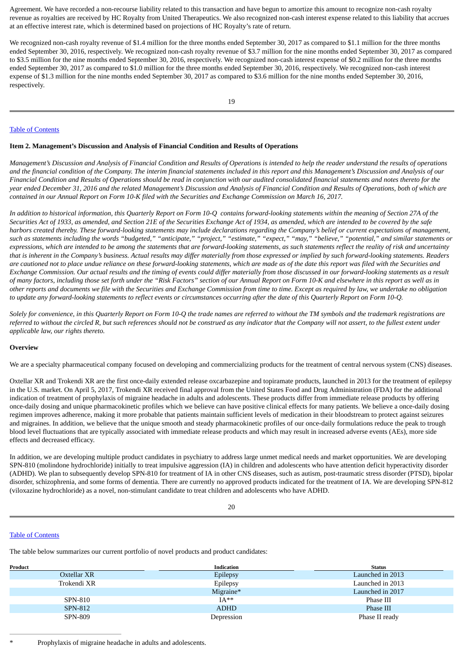Agreement. We have recorded a non-recourse liability related to this transaction and have begun to amortize this amount to recognize non-cash royalty revenue as royalties are received by HC Royalty from United Therapeutics. We also recognized non-cash interest expense related to this liability that accrues at an effective interest rate, which is determined based on projections of HC Royalty's rate of return.

We recognized non-cash royalty revenue of \$1.4 million for the three months ended September 30, 2017 as compared to \$1.1 million for the three months ended September 30, 2016, respectively. We recognized non-cash royalty revenue of \$3.7 million for the nine months ended September 30, 2017 as compared to \$3.5 million for the nine months ended September 30, 2016, respectively. We recognized non-cash interest expense of \$0.2 million for the three months ended September 30, 2017 as compared to \$1.0 million for the three months ended September 30, 2016, respectively. We recognized non-cash interest expense of \$1.3 million for the nine months ended September 30, 2017 as compared to \$3.6 million for the nine months ended September 30, 2016, respectively.

### Table of [Contents](#page-0-0)

### <span id="page-14-0"></span>**Item 2. Management's Discussion and Analysis of Financial Condition and Results of Operations**

Management's Discussion and Analysis of Financial Condition and Results of Operations is intended to help the reader understand the results of operations and the financial condition of the Company. The interim financial statements included in this report and this Management's Discussion and Analysis of our Financial Condition and Results of Operations should be read in conjunction with our audited consolidated financial statements and notes thereto for the year ended December 31, 2016 and the related Management's Discussion and Analysis of Financial Condition and Results of Operations, both of which are contained in our Annual Report on Form 10-K filed with the Securities and Exchange Commission on March 16, 2017.

In addition to historical information, this Quarterly Report on Form 10-Q contains forward-looking statements within the meaning of Section 27A of the Securities Act of 1933, as amended, and Section 21E of the Securities Exchange Act of 1934, as amended, which are intended to be covered by the safe harbors created thereby. These forward-looking statements may include declarations regarding the Company's belief or current expectations of management, such as statements including the words "budgeted," "anticipate," "project," "estimate," "expect," "may," "believe," "potential," and similar statements or expressions, which are intended to be among the statements that are forward-looking statements, as such statements reflect the reality of risk and uncertainty that is inherent in the Company's business. Actual results may differ materially from those expressed or implied by such forward-looking statements. Readers are cautioned not to place undue reliance on these forward-looking statements, which are made as of the date this report was filed with the Securities and Exchange Commission. Our actual results and the timing of events could differ materially from those discussed in our forward-looking statements as a result of many factors, including those set forth under the "Risk Factors" section of our Annual Report on Form 10-K and elsewhere in this report as well as in other reports and documents we file with the Securities and Exchange Commission from time to time. Except as required by law, we undertake no obligation to update any forward-looking statements to reflect events or circumstances occurring after the date of this Quarterly Report on Form 10-Q.

Solely for convenience, in this Quarterly Report on Form 10-Q the trade names are referred to without the TM symbols and the trademark reaistrations are referred to without the circled R, but such references should not be construed as any indicator that the Company will not assert, to the fullest extent under *applicable law, our rights thereto.*

#### **Overview**

We are a specialty pharmaceutical company focused on developing and commercializing products for the treatment of central nervous system (CNS) diseases.

Oxtellar XR and Trokendi XR are the first once-daily extended release oxcarbazepine and topiramate products, launched in 2013 for the treatment of epilepsy in the U.S. market. On April 5, 2017, Trokendi XR received final approval from the United States Food and Drug Administration (FDA) for the additional indication of treatment of prophylaxis of migraine headache in adults and adolescents. These products differ from immediate release products by offering once-daily dosing and unique pharmacokinetic profiles which we believe can have positive clinical effects for many patients. We believe a once-daily dosing regimen improves adherence, making it more probable that patients maintain sufficient levels of medication in their bloodstream to protect against seizures and migraines. In addition, we believe that the unique smooth and steady pharmacokinetic profiles of our once-daily formulations reduce the peak to trough blood level fluctuations that are typically associated with immediate release products and which may result in increased adverse events (AEs), more side effects and decreased efficacy.

In addition, we are developing multiple product candidates in psychiatry to address large unmet medical needs and market opportunities. We are developing SPN-810 (molindone hydrochloride) initially to treat impulsive aggression (IA) in children and adolescents who have attention deficit hyperactivity disorder (ADHD). We plan to subsequently develop SPN-810 for treatment of IA in other CNS diseases, such as autism, post-traumatic stress disorder (PTSD), bipolar disorder, schizophrenia, and some forms of dementia. There are currently no approved products indicated for the treatment of IA. We are developing SPN-812 (viloxazine hydrochloride) as a novel, non-stimulant candidate to treat children and adolescents who have ADHD.

20

### Table of [Contents](#page-0-0)

The table below summarizes our current portfolio of novel products and product candidates:

| Product        | <b>Indication</b> | <b>Status</b>    |
|----------------|-------------------|------------------|
| Oxtellar XR    | Epilepsy          | Launched in 2013 |
| Trokendi XR    | Epilepsy          | Launched in 2013 |
|                | Migraine*         | Launched in 2017 |
| SPN-810        | $IA**$            | Phase III        |
| SPN-812        | <b>ADHD</b>       | Phase III        |
| <b>SPN-809</b> | Depression        | Phase II ready   |

Prophylaxis of migraine headache in adults and adolescents.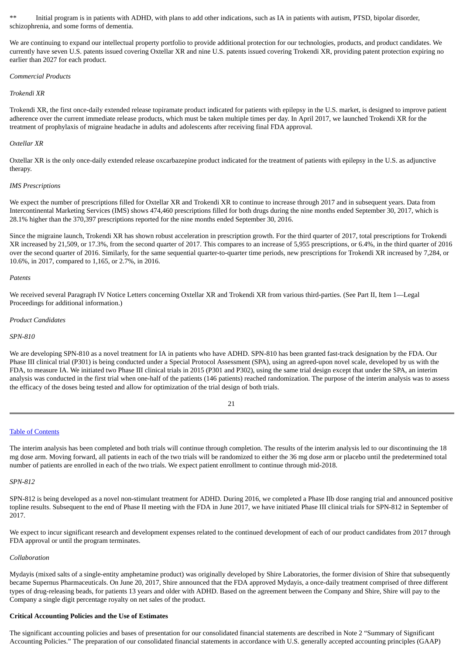\*\* Initial program is in patients with ADHD, with plans to add other indications, such as IA in patients with autism, PTSD, bipolar disorder, schizophrenia, and some forms of dementia.

We are continuing to expand our intellectual property portfolio to provide additional protection for our technologies, products, and product candidates. We currently have seven U.S. patents issued covering Oxtellar XR and nine U.S. patents issued covering Trokendi XR, providing patent protection expiring no earlier than 2027 for each product.

#### *Commercial Products*

#### *Trokendi XR*

Trokendi XR, the first once-daily extended release topiramate product indicated for patients with epilepsy in the U.S. market, is designed to improve patient adherence over the current immediate release products, which must be taken multiple times per day. In April 2017, we launched Trokendi XR for the treatment of prophylaxis of migraine headache in adults and adolescents after receiving final FDA approval.

#### *Oxtellar XR*

Oxtellar XR is the only once-daily extended release oxcarbazepine product indicated for the treatment of patients with epilepsy in the U.S. as adjunctive therapy.

### *IMS Prescriptions*

We expect the number of prescriptions filled for Oxtellar XR and Trokendi XR to continue to increase through 2017 and in subsequent years. Data from Intercontinental Marketing Services (IMS) shows 474,460 prescriptions filled for both drugs during the nine months ended September 30, 2017, which is 28.1% higher than the 370,397 prescriptions reported for the nine months ended September 30, 2016.

Since the migraine launch, Trokendi XR has shown robust acceleration in prescription growth. For the third quarter of 2017, total prescriptions for Trokendi XR increased by 21,509, or 17.3%, from the second quarter of 2017. This compares to an increase of 5,955 prescriptions, or 6.4%, in the third quarter of 2016 over the second quarter of 2016. Similarly, for the same sequential quarter-to-quarter time periods, new prescriptions for Trokendi XR increased by 7,284, or 10.6%, in 2017, compared to 1,165, or 2.7%, in 2016.

#### *Patents*

We received several Paragraph IV Notice Letters concerning Oxtellar XR and Trokendi XR from various third-parties. (See Part II, Item 1—Legal Proceedings for additional information.)

#### *Product Candidates*

#### *SPN-810*

We are developing SPN-810 as a novel treatment for IA in patients who have ADHD. SPN-810 has been granted fast-track designation by the FDA. Our Phase III clinical trial (P301) is being conducted under a Special Protocol Assessment (SPA), using an agreed-upon novel scale, developed by us with the FDA, to measure IA. We initiated two Phase III clinical trials in 2015 (P301 and P302), using the same trial design except that under the SPA, an interim analysis was conducted in the first trial when one-half of the patients (146 patients) reached randomization. The purpose of the interim analysis was to assess the efficacy of the doses being tested and allow for optimization of the trial design of both trials.

$$
21 \\
$$

#### Table of [Contents](#page-0-0)

The interim analysis has been completed and both trials will continue through completion. The results of the interim analysis led to our discontinuing the 18 mg dose arm. Moving forward, all patients in each of the two trials will be randomized to either the 36 mg dose arm or placebo until the predetermined total number of patients are enrolled in each of the two trials. We expect patient enrollment to continue through mid-2018.

*SPN-812*

SPN-812 is being developed as a novel non-stimulant treatment for ADHD. During 2016, we completed a Phase IIb dose ranging trial and announced positive topline results. Subsequent to the end of Phase II meeting with the FDA in June 2017, we have initiated Phase III clinical trials for SPN-812 in September of 2017.

We expect to incur significant research and development expenses related to the continued development of each of our product candidates from 2017 through FDA approval or until the program terminates.

#### *Collaboration*

Mydayis (mixed salts of a single-entity amphetamine product) was originally developed by Shire Laboratories, the former division of Shire that subsequently became Supernus Pharmaceuticals. On June 20, 2017, Shire announced that the FDA approved Mydayis, a once-daily treatment comprised of three different types of drug-releasing beads, for patients 13 years and older with ADHD. Based on the agreement between the Company and Shire, Shire will pay to the Company a single digit percentage royalty on net sales of the product.

#### **Critical Accounting Policies and the Use of Estimates**

The significant accounting policies and bases of presentation for our consolidated financial statements are described in Note 2 "Summary of Significant Accounting Policies." The preparation of our consolidated financial statements in accordance with U.S. generally accepted accounting principles (GAAP)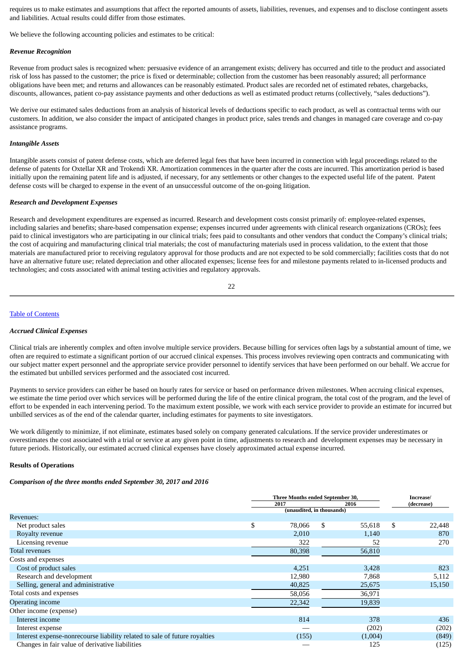requires us to make estimates and assumptions that affect the reported amounts of assets, liabilities, revenues, and expenses and to disclose contingent assets and liabilities. Actual results could differ from those estimates.

We believe the following accounting policies and estimates to be critical:

#### *Revenue Recognition*

Revenue from product sales is recognized when: persuasive evidence of an arrangement exists; delivery has occurred and title to the product and associated risk of loss has passed to the customer; the price is fixed or determinable; collection from the customer has been reasonably assured; all performance obligations have been met; and returns and allowances can be reasonably estimated. Product sales are recorded net of estimated rebates, chargebacks, discounts, allowances, patient co-pay assistance payments and other deductions as well as estimated product returns (collectively, "sales deductions").

We derive our estimated sales deductions from an analysis of historical levels of deductions specific to each product, as well as contractual terms with our customers. In addition, we also consider the impact of anticipated changes in product price, sales trends and changes in managed care coverage and co-pay assistance programs.

#### *Intangible Assets*

Intangible assets consist of patent defense costs, which are deferred legal fees that have been incurred in connection with legal proceedings related to the defense of patents for Oxtellar XR and Trokendi XR. Amortization commences in the quarter after the costs are incurred. This amortization period is based initially upon the remaining patent life and is adjusted, if necessary, for any settlements or other changes to the expected useful life of the patent. Patent defense costs will be charged to expense in the event of an unsuccessful outcome of the on-going litigation.

#### *Research and Development Expenses*

Research and development expenditures are expensed as incurred. Research and development costs consist primarily of: employee-related expenses, including salaries and benefits; share-based compensation expense; expenses incurred under agreements with clinical research organizations (CROs); fees paid to clinical investigators who are participating in our clinical trials; fees paid to consultants and other vendors that conduct the Company's clinical trials; the cost of acquiring and manufacturing clinical trial materials; the cost of manufacturing materials used in process validation, to the extent that those materials are manufactured prior to receiving regulatory approval for those products and are not expected to be sold commercially; facilities costs that do not have an alternative future use; related depreciation and other allocated expenses; license fees for and milestone payments related to in-licensed products and technologies; and costs associated with animal testing activities and regulatory approvals.

22

#### Table of [Contents](#page-0-0)

#### *Accrued Clinical Expenses*

Clinical trials are inherently complex and often involve multiple service providers. Because billing for services often lags by a substantial amount of time, we often are required to estimate a significant portion of our accrued clinical expenses. This process involves reviewing open contracts and communicating with our subject matter expert personnel and the appropriate service provider personnel to identify services that have been performed on our behalf. We accrue for the estimated but unbilled services performed and the associated cost incurred.

Payments to service providers can either be based on hourly rates for service or based on performance driven milestones. When accruing clinical expenses, we estimate the time period over which services will be performed during the life of the entire clinical program, the total cost of the program, and the level of effort to be expended in each intervening period. To the maximum extent possible, we work with each service provider to provide an estimate for incurred but unbilled services as of the end of the calendar quarter, including estimates for payments to site investigators.

We work diligently to minimize, if not eliminate, estimates based solely on company generated calculations. If the service provider underestimates or overestimates the cost associated with a trial or service at any given point in time, adjustments to research and development expenses may be necessary in future periods. Historically, our estimated accrued clinical expenses have closely approximated actual expense incurred.

#### **Results of Operations**

# *Comparison of the three months ended September 30, 2017 and 2016*

|                                                                            | Three Months ended September 30,<br>2016<br>2017 |                           |    |         |    | Increase/<br>(decrease) |  |
|----------------------------------------------------------------------------|--------------------------------------------------|---------------------------|----|---------|----|-------------------------|--|
|                                                                            |                                                  |                           |    |         |    |                         |  |
|                                                                            |                                                  | (unaudited, in thousands) |    |         |    |                         |  |
| <b>Revenues:</b>                                                           |                                                  |                           |    |         |    |                         |  |
| Net product sales                                                          | \$                                               | 78,066                    | \$ | 55,618  | \$ | 22,448                  |  |
| Royalty revenue                                                            |                                                  | 2,010                     |    | 1,140   |    | 870                     |  |
| Licensing revenue                                                          |                                                  | 322                       |    | 52      |    | 270                     |  |
| <b>Total revenues</b>                                                      |                                                  | 80,398                    |    | 56,810  |    |                         |  |
| Costs and expenses                                                         |                                                  |                           |    |         |    |                         |  |
| Cost of product sales                                                      |                                                  | 4,251                     |    | 3,428   |    | 823                     |  |
| Research and development                                                   |                                                  | 12,980                    |    | 7,868   |    | 5,112                   |  |
| Selling, general and administrative                                        |                                                  | 40,825                    |    | 25,675  |    | 15,150                  |  |
| Total costs and expenses                                                   |                                                  | 58,056                    |    | 36,971  |    |                         |  |
| Operating income                                                           |                                                  | 22,342                    |    | 19,839  |    |                         |  |
| Other income (expense)                                                     |                                                  |                           |    |         |    |                         |  |
| Interest income                                                            |                                                  | 814                       |    | 378     |    | 436                     |  |
| Interest expense                                                           |                                                  |                           |    | (202)   |    | (202)                   |  |
| Interest expense-nonrecourse liability related to sale of future royalties |                                                  | (155)                     |    | (1,004) |    | (849)                   |  |
| Changes in fair value of derivative liabilities                            |                                                  |                           |    | 125     |    | (125)                   |  |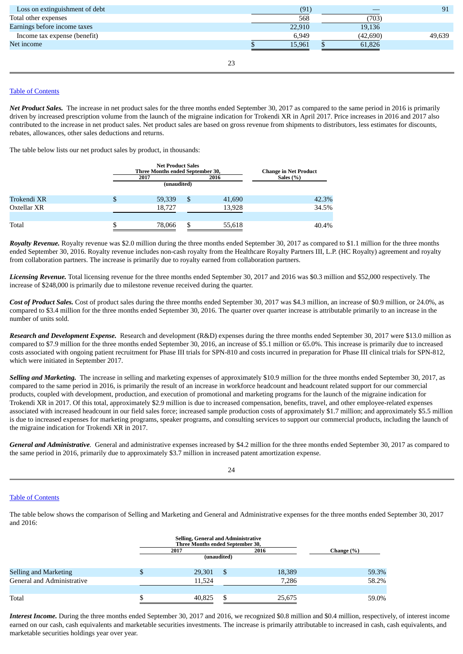| Loss on extinguishment of debt |    | (91)   |           | 91     |
|--------------------------------|----|--------|-----------|--------|
| Total other expenses           |    | 568    | 703)      |        |
| Earnings before income taxes   |    | 22,910 | 19,136    |        |
| Income tax expense (benefit)   |    | 6,949  | (42, 690) | 49,639 |
| Net income                     |    | 15,961 | 61,826    |        |
|                                |    |        |           |        |
|                                | 23 |        |           |        |

### Table of [Contents](#page-0-0)

*Net Product Sales.* The increase in net product sales for the three months ended September 30, 2017 as compared to the same period in 2016 is primarily driven by increased prescription volume from the launch of the migraine indication for Trokendi XR in April 2017. Price increases in 2016 and 2017 also contributed to the increase in net product sales. Net product sales are based on gross revenue from shipments to distributors, less estimates for discounts, rebates, allowances, other sales deductions and returns.

The table below lists our net product sales by product, in thousands:

|             | <b>Net Product Sales</b><br>Three Months ended September 30,<br>2017 | <b>Change in Net Product</b><br>Sales $(\% )$ |        |       |
|-------------|----------------------------------------------------------------------|-----------------------------------------------|--------|-------|
|             | (unaudited)                                                          |                                               |        |       |
| Trokendi XR | \$<br>59,339                                                         | S                                             | 41,690 | 42.3% |
| Oxtellar XR | 18,727                                                               |                                               | 13,928 | 34.5% |
|             |                                                                      |                                               |        |       |
| Total       | \$<br>78,066                                                         | S                                             | 55,618 | 40.4% |

*Royalty Revenue.* Royalty revenue was \$2.0 million during the three months ended September 30, 2017 as compared to \$1.1 million for the three months ended September 30, 2016. Royalty revenue includes non-cash royalty from the Healthcare Royalty Partners III, L.P. (HC Royalty) agreement and royalty from collaboration partners. The increase is primarily due to royalty earned from collaboration partners.

*Licensing Revenue.* Total licensing revenue for the three months ended September 30, 2017 and 2016 was \$0.3 million and \$52,000 respectively. The increase of \$248,000 is primarily due to milestone revenue received during the quarter.

*Cost of Product Sales.* Cost of product sales during the three months ended September 30, 2017 was \$4.3 million, an increase of \$0.9 million, or 24.0%, as compared to \$3.4 million for the three months ended September 30, 2016. The quarter over quarter increase is attributable primarily to an increase in the number of units sold.

*Research and Development Expense.* Research and development (R&D) expenses during the three months ended September 30, 2017 were \$13.0 million as compared to \$7.9 million for the three months ended September 30, 2016, an increase of \$5.1 million or 65.0%. This increase is primarily due to increased costs associated with ongoing patient recruitment for Phase III trials for SPN-810 and costs incurred in preparation for Phase III clinical trials for SPN-812, which were initiated in September 2017.

*Selling and Marketing.* The increase in selling and marketing expenses of approximately \$10.9 million for the three months ended September 30, 2017, as compared to the same period in 2016, is primarily the result of an increase in workforce headcount and headcount related support for our commercial products, coupled with development, production, and execution of promotional and marketing programs for the launch of the migraine indication for Trokendi XR in 2017. Of this total, approximately \$2.9 million is due to increased compensation, benefits, travel, and other employee-related expenses associated with increased headcount in our field sales force; increased sample production costs of approximately \$1.7 million; and approximately \$5.5 million is due to increased expenses for marketing programs, speaker programs, and consulting services to support our commercial products, including the launch of the migraine indication for Trokendi XR in 2017.

*General and Administrative.* General and administrative expenses increased by \$4.2 million for the three months ended September 30, 2017 as compared to the same period in 2016, primarily due to approximately \$3.7 million in increased patent amortization expense.

24

#### Table of [Contents](#page-0-0)

The table below shows the comparison of Selling and Marketing and General and Administrative expenses for the three months ended September 30, 2017 and 2016:

|                              | <b>Selling, General and Administrative</b><br>Three Months ended September 30, |        |             |        |            |  |  |  |  |
|------------------------------|--------------------------------------------------------------------------------|--------|-------------|--------|------------|--|--|--|--|
|                              |                                                                                | 2017   |             | 2016   | Change (%) |  |  |  |  |
|                              |                                                                                |        | (unaudited) |        |            |  |  |  |  |
| <b>Selling and Marketing</b> | Œ                                                                              | 29,301 | S           | 18,389 | 59.3%      |  |  |  |  |
| General and Administrative   |                                                                                | 11,524 |             | 7,286  | 58.2%      |  |  |  |  |
| Total                        |                                                                                | 40.825 | S           | 25,675 | 59.0%      |  |  |  |  |

*Interest Income.* During the three months ended September 30, 2017 and 2016, we recognized \$0.8 million and \$0.4 million, respectively, of interest income earned on our cash, cash equivalents and marketable securities investments. The increase is primarily attributable to increased in cash, cash equivalents, and marketable securities holdings year over year.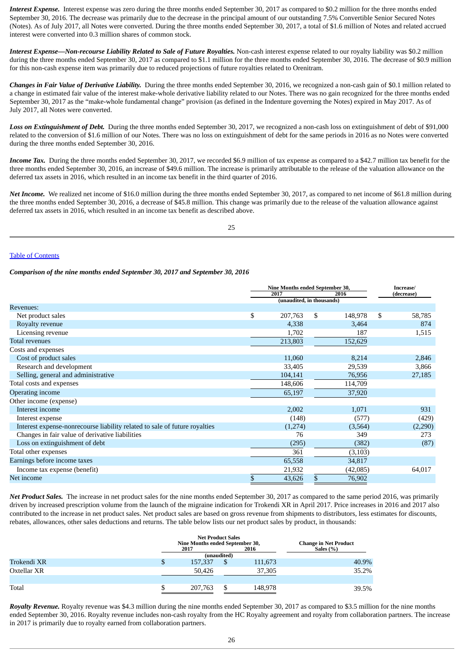*Interest Expense.* Interest expense was zero during the three months ended September 30, 2017 as compared to \$0.2 million for the three months ended September 30, 2016. The decrease was primarily due to the decrease in the principal amount of our outstanding 7.5% Convertible Senior Secured Notes (Notes). As of July 2017, all Notes were converted. During the three months ended September 30, 2017, a total of \$1.6 million of Notes and related accrued interest were converted into 0.3 million shares of common stock.

*Interest Expense—Non-recourse Liability Related to Sale of Future Royalties.* Non-cash interest expense related to our royalty liability was \$0.2 million during the three months ended September 30, 2017 as compared to \$1.1 million for the three months ended September 30, 2016. The decrease of \$0.9 million for this non-cash expense item was primarily due to reduced projections of future royalties related to Orenitram.

*Changes in Fair Value of Derivative Liability.* During the three months ended September 30, 2016, we recognized a non-cash gain of \$0.1 million related to a change in estimated fair value of the interest make-whole derivative liability related to our Notes. There was no gain recognized for the three months ended September 30, 2017 as the "make-whole fundamental change" provision (as defined in the Indenture governing the Notes) expired in May 2017. As of July 2017, all Notes were converted.

*Loss on Extinguishment of Debt.* During the three months ended September 30, 2017, we recognized a non-cash loss on extinguishment of debt of \$91,000 related to the conversion of \$1.6 million of our Notes. There was no loss on extinguishment of debt for the same periods in 2016 as no Notes were converted during the three months ended September 30, 2016.

*Income Tax.* During the three months ended September 30, 2017, we recorded \$6.9 million of tax expense as compared to a \$42.7 million tax benefit for the three months ended September 30, 2016, an increase of \$49.6 million. The increase is primarily attributable to the release of the valuation allowance on the deferred tax assets in 2016, which resulted in an income tax benefit in the third quarter of 2016.

*Net Income.* We realized net income of \$16.0 million during the three months ended September 30, 2017, as compared to net income of \$61.8 million during the three months ended September 30, 2016, a decrease of \$45.8 million. This change was primarily due to the release of the valuation allowance against deferred tax assets in 2016, which resulted in an income tax benefit as described above.

25

### Table of [Contents](#page-0-0)

*Comparison of the nine months ended September 30, 2017 and September 30, 2016*

|                                                                            | Nine Months ended September 30,<br>2016 |                           |            |          |    | Increase/ |  |
|----------------------------------------------------------------------------|-----------------------------------------|---------------------------|------------|----------|----|-----------|--|
|                                                                            |                                         | 2017                      | (decrease) |          |    |           |  |
|                                                                            |                                         | (unaudited, in thousands) |            |          |    |           |  |
| <b>Revenues:</b>                                                           |                                         |                           |            |          |    |           |  |
| Net product sales                                                          | \$                                      | 207,763                   | \$         | 148,978  | \$ | 58,785    |  |
| Royalty revenue                                                            |                                         | 4,338                     |            | 3,464    |    | 874       |  |
| Licensing revenue                                                          |                                         | 1,702                     |            | 187      |    | 1,515     |  |
| <b>Total revenues</b>                                                      |                                         | 213,803                   |            | 152,629  |    |           |  |
| Costs and expenses                                                         |                                         |                           |            |          |    |           |  |
| Cost of product sales                                                      |                                         | 11,060                    |            | 8,214    |    | 2,846     |  |
| Research and development                                                   |                                         | 33,405                    |            | 29,539   |    | 3,866     |  |
| Selling, general and administrative                                        |                                         | 104,141                   |            | 76,956   |    | 27,185    |  |
| Total costs and expenses                                                   |                                         | 148,606                   |            | 114,709  |    |           |  |
| Operating income                                                           |                                         | 65,197                    |            | 37,920   |    |           |  |
| Other income (expense)                                                     |                                         |                           |            |          |    |           |  |
| Interest income                                                            |                                         | 2,002                     |            | 1,071    |    | 931       |  |
| Interest expense                                                           |                                         | (148)                     |            | (577)    |    | (429)     |  |
| Interest expense-nonrecourse liability related to sale of future royalties |                                         | (1,274)                   |            | (3,564)  |    | (2,290)   |  |
| Changes in fair value of derivative liabilities                            |                                         | 76                        |            | 349      |    | 273       |  |
| Loss on extinguishment of debt                                             |                                         | (295)                     |            | (382)    |    | (87)      |  |
| Total other expenses                                                       |                                         | 361                       |            | (3, 103) |    |           |  |
| Earnings before income taxes                                               |                                         | 65,558                    |            | 34,817   |    |           |  |
| Income tax expense (benefit)                                               |                                         | 21,932                    |            | (42,085) |    | 64,017    |  |
| Net income                                                                 | \$                                      | 43,626                    | \$         | 76,902   |    |           |  |

*Net Product Sales.* The increase in net product sales for the nine months ended September 30, 2017 as compared to the same period 2016, was primarily driven by increased prescription volume from the launch of the migraine indication for Trokendi XR in April 2017. Price increases in 2016 and 2017 also contributed to the increase in net product sales. Net product sales are based on gross revenue from shipments to distributors, less estimates for discounts, rebates, allowances, other sales deductions and returns. The table below lists our net product sales by product, in thousands:

|             |   | <b>Net Product Sales</b><br>Nine Months ended September 30, |             | <b>Change in Net Product</b> |              |  |
|-------------|---|-------------------------------------------------------------|-------------|------------------------------|--------------|--|
|             |   | 2017                                                        |             | 2016                         | Sales $(\%)$ |  |
|             |   |                                                             | (unaudited) |                              |              |  |
| Trokendi XR | ა | 157,337                                                     | S           | 111,673                      | 40.9%        |  |
| Oxtellar XR |   | 50.426                                                      |             | 37,305                       | 35.2%        |  |
| Total       |   | 207,763                                                     | S           | 148,978                      | 39.5%        |  |

*Royalty Revenue.* Royalty revenue was \$4.3 million during the nine months ended September 30, 2017 as compared to \$3.5 million for the nine months ended September 30, 2016. Royalty revenue includes non-cash royalty from the HC Royalty agreement and royalty from collaboration partners. The increase in 2017 is primarily due to royalty earned from collaboration partners.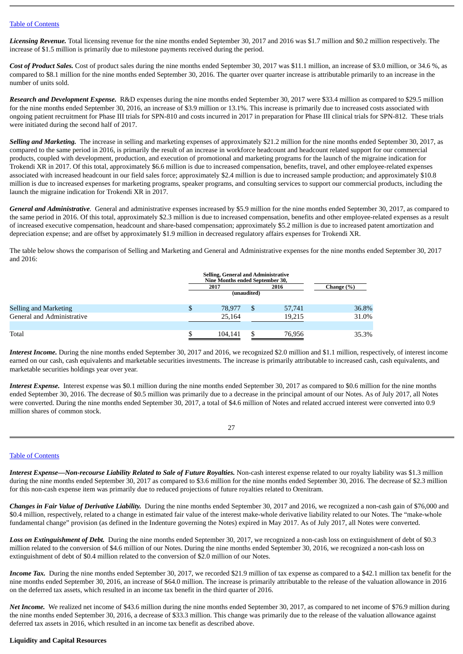### Table of [Contents](#page-0-0)

*Licensing Revenue.* Total licensing revenue for the nine months ended September 30, 2017 and 2016 was \$1.7 million and \$0.2 million respectively. The increase of \$1.5 million is primarily due to milestone payments received during the period.

*Cost of Product Sales.* Cost of product sales during the nine months ended September 30, 2017 was \$11.1 million, an increase of \$3.0 million, or 34.6 %, as compared to \$8.1 million for the nine months ended September 30, 2016. The quarter over quarter increase is attributable primarily to an increase in the number of units sold.

*Research and Development Expense.* R&D expenses during the nine months ended September 30, 2017 were \$33.4 million as compared to \$29.5 million for the nine months ended September 30, 2016, an increase of \$3.9 million or 13.1%. This increase is primarily due to increased costs associated with ongoing patient recruitment for Phase III trials for SPN-810 and costs incurred in 2017 in preparation for Phase III clinical trials for SPN-812. These trials were initiated during the second half of 2017.

*Selling and Marketing.* The increase in selling and marketing expenses of approximately \$21.2 million for the nine months ended September 30, 2017, as compared to the same period in 2016, is primarily the result of an increase in workforce headcount and headcount related support for our commercial products, coupled with development, production, and execution of promotional and marketing programs for the launch of the migraine indication for Trokendi XR in 2017. Of this total, approximately \$6.6 million is due to increased compensation, benefits, travel, and other employee-related expenses associated with increased headcount in our field sales force; approximately \$2.4 million is due to increased sample production; and approximately \$10.8 million is due to increased expenses for marketing programs, speaker programs, and consulting services to support our commercial products, including the launch the migraine indication for Trokendi XR in 2017.

*General and Administrative.* General and administrative expenses increased by \$5.9 million for the nine months ended September 30, 2017, as compared to the same period in 2016. Of this total, approximately \$2.3 million is due to increased compensation, benefits and other employee-related expenses as a result of increased executive compensation, headcount and share-based compensation; approximately \$5.2 million is due to increased patent amortization and depreciation expense; and are offset by approximately \$1.9 million in decreased regulatory affairs expenses for Trokendi XR.

The table below shows the comparison of Selling and Marketing and General and Administrative expenses for the nine months ended September 30, 2017 and 2016:

|                              | <b>Selling, General and Administrative</b><br>Nine Months ended September 30, |   |        |            |
|------------------------------|-------------------------------------------------------------------------------|---|--------|------------|
|                              | 2017                                                                          |   | 2016   | Change (%) |
|                              | (unaudited)                                                                   |   |        |            |
| <b>Selling and Marketing</b> | \$<br>78,977                                                                  | S | 57,741 | 36.8%      |
| General and Administrative   | 25,164                                                                        |   | 19.215 | 31.0%      |
|                              |                                                                               |   |        |            |
| Total                        | 104.141                                                                       | S | 76.956 | 35.3%      |

*Interest Income.* During the nine months ended September 30, 2017 and 2016, we recognized \$2.0 million and \$1.1 million, respectively, of interest income earned on our cash, cash equivalents and marketable securities investments. The increase is primarily attributable to increased cash, cash equivalents, and marketable securities holdings year over year.

*Interest Expense.* Interest expense was \$0.1 million during the nine months ended September 30, 2017 as compared to \$0.6 million for the nine months ended September 30, 2016. The decrease of \$0.5 million was primarily due to a decrease in the principal amount of our Notes. As of July 2017, all Notes were converted. During the nine months ended September 30, 2017, a total of \$4.6 million of Notes and related accrued interest were converted into 0.9 million shares of common stock.

# 27

# Table of [Contents](#page-0-0)

*Interest Expense—Non-recourse Liability Related to Sale of Future Royalties.* Non-cash interest expense related to our royalty liability was \$1.3 million during the nine months ended September 30, 2017 as compared to \$3.6 million for the nine months ended September 30, 2016. The decrease of \$2.3 million for this non-cash expense item was primarily due to reduced projections of future royalties related to Orenitram.

*Changes in Fair Value of Derivative Liability.* During the nine months ended September 30, 2017 and 2016, we recognized a non-cash gain of \$76,000 and \$0.4 million, respectively, related to a change in estimated fair value of the interest make-whole derivative liability related to our Notes. The "make-whole fundamental change" provision (as defined in the Indenture governing the Notes) expired in May 2017. As of July 2017, all Notes were converted.

*Loss on Extinguishment of Debt.* During the nine months ended September 30, 2017, we recognized a non-cash loss on extinguishment of debt of \$0.3 million related to the conversion of \$4.6 million of our Notes. During the nine months ended September 30, 2016, we recognized a non-cash loss on extinguishment of debt of \$0.4 million related to the conversion of \$2.0 million of our Notes.

*Income Tax.* During the nine months ended September 30, 2017, we recorded \$21.9 million of tax expense as compared to a \$42.1 million tax benefit for the nine months ended September 30, 2016, an increase of \$64.0 million. The increase is primarily attributable to the release of the valuation allowance in 2016 on the deferred tax assets, which resulted in an income tax benefit in the third quarter of 2016.

*Net Income.* We realized net income of \$43.6 million during the nine months ended September 30, 2017, as compared to net income of \$76.9 million during the nine months ended September 30, 2016, a decrease of \$33.3 million. This change was primarily due to the release of the valuation allowance against deferred tax assets in 2016, which resulted in an income tax benefit as described above.

# **Liquidity and Capital Resources**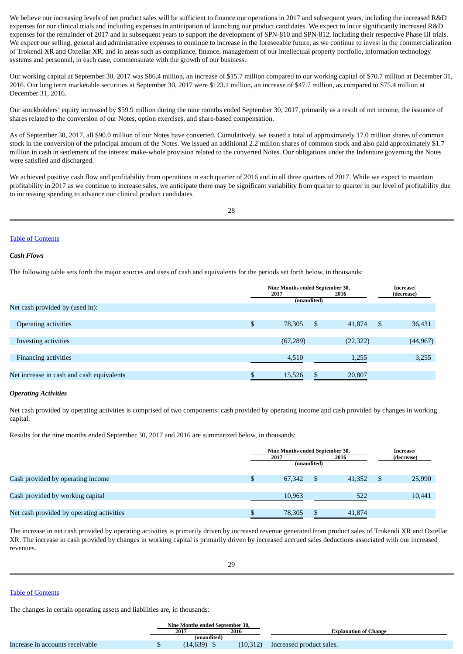We believe our increasing levels of net product sales will be sufficient to finance our operations in 2017 and subsequent years, including the increased R&D expenses for our clinical trials and including expenses in anticipation of launching our product candidates. We expect to incur significantly increased R&D expenses for the remainder of 2017 and in subsequent years to support the development of SPN-810 and SPN-812, including their respective Phase III trials. We expect our selling, general and administrative expenses to continue to increase in the foreseeable future, as we continue to invest in the commercialization of Trokendi XR and Oxtellar XR, and in areas such as compliance, finance, management of our intellectual property portfolio, information technology systems and personnel, in each case, commensurate with the growth of our business.

Our working capital at September 30, 2017 was \$86.4 million, an increase of \$15.7 million compared to our working capital of \$70.7 million at December 31, 2016. Our long term marketable securities at September 30, 2017 were \$123.1 million, an increase of \$47.7 million, as compared to \$75.4 million at December 31, 2016.

Our stockholders' equity increased by \$59.9 million during the nine months ended September 30, 2017, primarily as a result of net income, the issuance of shares related to the conversion of our Notes, option exercises, and share-based compensation.

As of September 30, 2017, all \$90.0 million of our Notes have converted. Cumulatively, we issued a total of approximately 17.0 million shares of common stock in the conversion of the principal amount of the Notes. We issued an additional 2.2 million shares of common stock and also paid approximately \$1.7 million in cash in settlement of the interest make-whole provision related to the converted Notes. Our obligations under the Indenture governing the Notes were satisfied and discharged.

We achieved positive cash flow and profitability from operations in each quarter of 2016 and in all three quarters of 2017. While we expect to maintain profitability in 2017 as we continue to increase sales, we anticipate there may be significant variability from quarter to quarter in our level of profitability due to increasing spending to advance our clinical product candidates.

28

### Table of [Contents](#page-0-0)

## *Cash Flows*

The following table sets forth the major sources and uses of cash and equivalents for the periods set forth below, in thousands:

| Nine Months ended September 30, |              |     |           |    | Increase/  |  |
|---------------------------------|--------------|-----|-----------|----|------------|--|
|                                 | 2017<br>2016 |     |           |    | (decrease) |  |
| (unaudited)                     |              |     |           |    |            |  |
|                                 |              |     |           |    |            |  |
|                                 |              |     |           |    |            |  |
| \$                              | 78,305       | -\$ | 41,874    | \$ | 36,431     |  |
|                                 |              |     |           |    |            |  |
|                                 | (67, 289)    |     | (22, 322) |    | (44, 967)  |  |
|                                 |              |     |           |    |            |  |
|                                 | 4,510        |     | 1,255     |    | 3,255      |  |
|                                 |              |     |           |    |            |  |
|                                 | 15,526       | \$  | 20,807    |    |            |  |
|                                 |              |     |           |    |            |  |

### *Operating Activities*

Net cash provided by operating activities is comprised of two components: cash provided by operating income and cash provided by changes in working capital.

Results for the nine months ended September 30, 2017 and 2016 are summarized below, in thousands:

|                                           | Nine Months ended September 30, |             |        |            | Increase/ |  |  |
|-------------------------------------------|---------------------------------|-------------|--------|------------|-----------|--|--|
|                                           | 2017<br>2016                    |             |        | (decrease) |           |  |  |
|                                           |                                 | (unaudited) |        |            |           |  |  |
| Cash provided by operating income         | \$<br>67,342                    | S           | 41,352 |            | 25,990    |  |  |
| Cash provided by working capital          | 10,963                          |             | 522    |            | 10,441    |  |  |
|                                           |                                 |             |        |            |           |  |  |
| Net cash provided by operating activities | 78,305                          |             | 41,874 |            |           |  |  |

The increase in net cash provided by operating activities is primarily driven by increased revenue generated from product sales of Trokendi XR and Oxtellar XR. The increase in cash provided by changes in working capital is primarily driven by increased accrued sales deductions associated with our increased revenues.

29

# Table of [Contents](#page-0-0)

The changes in certain operating assets and liabilities are, in thousands:

|                                 |      | Nine Months ended September 30. |           |                              |  |
|---------------------------------|------|---------------------------------|-----------|------------------------------|--|
|                                 | 201. |                                 | 2016      | <b>Explanation of Change</b> |  |
|                                 |      | (unaudited)                     |           |                              |  |
| Increase in accounts receivable |      | (14.639)                        | (10, 312) | Increased product sales.     |  |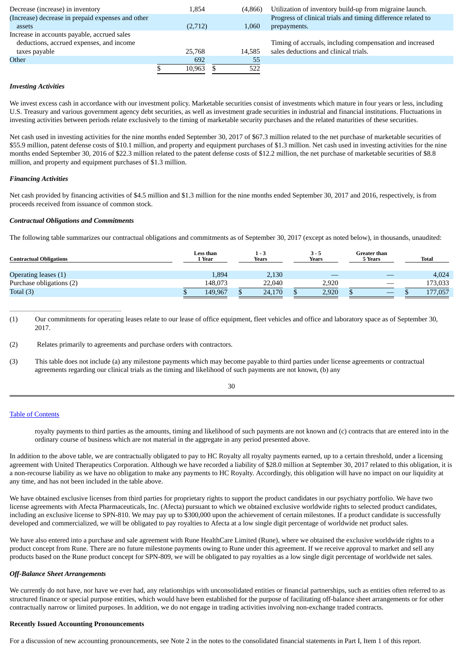| Decrease (increase) in inventory                  | 1,854   | (4,866) | Utilization of inventory build-up from migraine launch.      |
|---------------------------------------------------|---------|---------|--------------------------------------------------------------|
| (Increase) decrease in prepaid expenses and other |         |         | Progress of clinical trials and timing difference related to |
| assets                                            | (2,712) | 1,060   | prepayments.                                                 |
| Increase in accounts payable, accrued sales       |         |         |                                                              |
| deductions, accrued expenses, and income          |         |         | Timing of accruals, including compensation and increased     |
| taxes payable                                     | 25,768  | 14.585  | sales deductions and clinical trials.                        |
| Other                                             | 692     | 55      |                                                              |
|                                                   | 10,963  | 522     |                                                              |

### *Investing Activities*

We invest excess cash in accordance with our investment policy. Marketable securities consist of investments which mature in four years or less, including U.S. Treasury and various government agency debt securities, as well as investment grade securities in industrial and financial institutions. Fluctuations in investing activities between periods relate exclusively to the timing of marketable security purchases and the related maturities of these securities.

Net cash used in investing activities for the nine months ended September 30, 2017 of \$67.3 million related to the net purchase of marketable securities of \$55.9 million, patent defense costs of \$10.1 million, and property and equipment purchases of \$1.3 million. Net cash used in investing activities for the nine months ended September 30, 2016 of \$22.3 million related to the patent defense costs of \$12.2 million, the net purchase of marketable securities of \$8.8 million, and property and equipment purchases of \$1.3 million.

### *Financing Activities*

Net cash provided by financing activities of \$4.5 million and \$1.3 million for the nine months ended September 30, 2017 and 2016, respectively, is from proceeds received from issuance of common stock.

### *Contractual Obligations and Commitments*

The following table summarizes our contractual obligations and commitments as of September 30, 2017 (except as noted below), in thousands, unaudited:

| <b>Contractual Obligations</b> | Less than<br>l Year | 1 - 3<br>Years | $3 - 5$<br>Years | <b>Greater than</b><br>5 Years | <b>Total</b> |
|--------------------------------|---------------------|----------------|------------------|--------------------------------|--------------|
| Operating leases (1)           | 1,894               | 2,130          |                  |                                | 4,024        |
| Purchase obligations (2)       | 148,073             | 22,040         | 2,920            |                                | 173,033      |
| Total $(3)$                    | 149,967             | 24,170         | 2,920            |                                | 177,057      |

(1) Our commitments for operating leases relate to our lease of office equipment, fleet vehicles and office and laboratory space as of September 30, 2017.

(2) Relates primarily to agreements and purchase orders with contractors.

(3) This table does not include (a) any milestone payments which may become payable to third parties under license agreements or contractual agreements regarding our clinical trials as the timing and likelihood of such payments are not known, (b) any

| ٠<br>۰. | I  |  |
|---------|----|--|
| ×<br>v  | ۰, |  |

### Table of [Contents](#page-0-0)

royalty payments to third parties as the amounts, timing and likelihood of such payments are not known and (c) contracts that are entered into in the ordinary course of business which are not material in the aggregate in any period presented above.

In addition to the above table, we are contractually obligated to pay to HC Royalty all royalty payments earned, up to a certain threshold, under a licensing agreement with United Therapeutics Corporation. Although we have recorded a liability of \$28.0 million at September 30, 2017 related to this obligation, it is a non-recourse liability as we have no obligation to make any payments to HC Royalty. Accordingly, this obligation will have no impact on our liquidity at any time, and has not been included in the table above.

We have obtained exclusive licenses from third parties for proprietary rights to support the product candidates in our psychiatry portfolio. We have two license agreements with Afecta Pharmaceuticals, Inc. (Afecta) pursuant to which we obtained exclusive worldwide rights to selected product candidates, including an exclusive license to SPN-810. We may pay up to \$300,000 upon the achievement of certain milestones. If a product candidate is successfully developed and commercialized, we will be obligated to pay royalties to Afecta at a low single digit percentage of worldwide net product sales.

We have also entered into a purchase and sale agreement with Rune HealthCare Limited (Rune), where we obtained the exclusive worldwide rights to a product concept from Rune. There are no future milestone payments owing to Rune under this agreement. If we receive approval to market and sell any products based on the Rune product concept for SPN-809, we will be obligated to pay royalties as a low single digit percentage of worldwide net sales.

### *Off-Balance Sheet Arrangements*

We currently do not have, nor have we ever had, any relationships with unconsolidated entities or financial partnerships, such as entities often referred to as structured finance or special purpose entities, which would have been established for the purpose of facilitating off-balance sheet arrangements or for other contractually narrow or limited purposes. In addition, we do not engage in trading activities involving non-exchange traded contracts.

#### **Recently Issued Accounting Pronouncements**

For a discussion of new accounting pronouncements, see Note 2 in the notes to the consolidated financial statements in Part I, Item 1 of this report.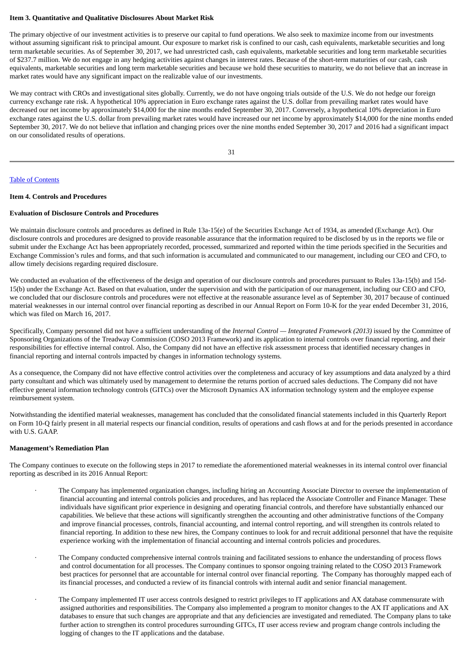### **Item 3. Quantitative and Qualitative Disclosures About Market Risk**

The primary objective of our investment activities is to preserve our capital to fund operations. We also seek to maximize income from our investments without assuming significant risk to principal amount. Our exposure to market risk is confined to our cash, cash equivalents, marketable securities and long term marketable securities. As of September 30, 2017, we had unrestricted cash, cash equivalents, marketable securities and long term marketable securities of \$237.7 million. We do not engage in any hedging activities against changes in interest rates. Because of the short-term maturities of our cash, cash equivalents, marketable securities and long term marketable securities and because we hold these securities to maturity, we do not believe that an increase in market rates would have any significant impact on the realizable value of our investments.

We may contract with CROs and investigational sites globally. Currently, we do not have ongoing trials outside of the U.S. We do not hedge our foreign currency exchange rate risk. A hypothetical 10% appreciation in Euro exchange rates against the U.S. dollar from prevailing market rates would have decreased our net income by approximately \$14,000 for the nine months ended September 30, 2017. Conversely, a hypothetical 10% depreciation in Euro exchange rates against the U.S. dollar from prevailing market rates would have increased our net income by approximately \$14,000 for the nine months ended September 30, 2017. We do not believe that inflation and changing prices over the nine months ended September 30, 2017 and 2016 had a significant impact on our consolidated results of operations.

<span id="page-22-0"></span>31

### Table of [Contents](#page-0-0)

### <span id="page-22-1"></span>**Item 4. Controls and Procedures**

### **Evaluation of Disclosure Controls and Procedures**

We maintain disclosure controls and procedures as defined in Rule 13a-15(e) of the Securities Exchange Act of 1934, as amended (Exchange Act). Our disclosure controls and procedures are designed to provide reasonable assurance that the information required to be disclosed by us in the reports we file or submit under the Exchange Act has been appropriately recorded, processed, summarized and reported within the time periods specified in the Securities and Exchange Commission's rules and forms, and that such information is accumulated and communicated to our management, including our CEO and CFO, to allow timely decisions regarding required disclosure.

We conducted an evaluation of the effectiveness of the design and operation of our disclosure controls and procedures pursuant to Rules 13a-15(b) and 15d-15(b) under the Exchange Act. Based on that evaluation, under the supervision and with the participation of our management, including our CEO and CFO, we concluded that our disclosure controls and procedures were not effective at the reasonable assurance level as of September 30, 2017 because of continued material weaknesses in our internal control over financial reporting as described in our Annual Report on Form 10-K for the year ended December 31, 2016, which was filed on March 16, 2017.

Specifically, Company personnel did not have a sufficient understanding of the *Internal Control — Integrated Framework (2013)* issued by the Committee of Sponsoring Organizations of the Treadway Commission (COSO 2013 Framework) and its application to internal controls over financial reporting, and their responsibilities for effective internal control. Also, the Company did not have an effective risk assessment process that identified necessary changes in financial reporting and internal controls impacted by changes in information technology systems.

As a consequence, the Company did not have effective control activities over the completeness and accuracy of key assumptions and data analyzed by a third party consultant and which was ultimately used by management to determine the returns portion of accrued sales deductions. The Company did not have effective general information technology controls (GITCs) over the Microsoft Dynamics AX information technology system and the employee expense reimbursement system.

Notwithstanding the identified material weaknesses, management has concluded that the consolidated financial statements included in this Quarterly Report on Form 10-Q fairly present in all material respects our financial condition, results of operations and cash flows at and for the periods presented in accordance with U.S. GAAP.

#### **Management's Remediation Plan**

The Company continues to execute on the following steps in 2017 to remediate the aforementioned material weaknesses in its internal control over financial reporting as described in its 2016 Annual Report:

- · The Company has implemented organization changes, including hiring an Accounting Associate Director to oversee the implementation of financial accounting and internal controls policies and procedures, and has replaced the Associate Controller and Finance Manager. These individuals have significant prior experience in designing and operating financial controls, and therefore have substantially enhanced our capabilities. We believe that these actions will significantly strengthen the accounting and other administrative functions of the Company and improve financial processes, controls, financial accounting, and internal control reporting, and will strengthen its controls related to financial reporting. In addition to these new hires, the Company continues to look for and recruit additional personnel that have the requisite experience working with the implementation of financial accounting and internal controls policies and procedures.
- · The Company conducted comprehensive internal controls training and facilitated sessions to enhance the understanding of process flows and control documentation for all processes. The Company continues to sponsor ongoing training related to the COSO 2013 Framework best practices for personnel that are accountable for internal control over financial reporting. The Company has thoroughly mapped each of its financial processes, and conducted a review of its financial controls with internal audit and senior financial management.
- The Company implemented IT user access controls designed to restrict privileges to IT applications and AX database commensurate with assigned authorities and responsibilities. The Company also implemented a program to monitor changes to the AX IT applications and AX databases to ensure that such changes are appropriate and that any deficiencies are investigated and remediated. The Company plans to take further action to strengthen its control procedures surrounding GITCs, IT user access review and program change controls including the logging of changes to the IT applications and the database.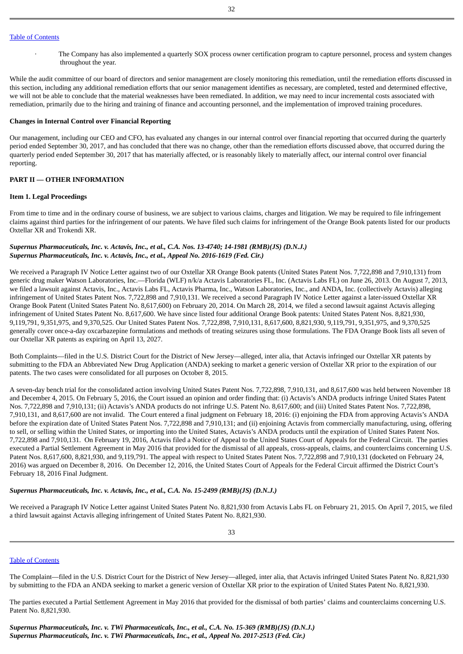#### Table of [Contents](#page-0-0)

The Company has also implemented a quarterly SOX process owner certification program to capture personnel, process and system changes throughout the year.

While the audit committee of our board of directors and senior management are closely monitoring this remediation, until the remediation efforts discussed in this section, including any additional remediation efforts that our senior management identifies as necessary, are completed, tested and determined effective, we will not be able to conclude that the material weaknesses have been remediated. In addition, we may need to incur incremental costs associated with remediation, primarily due to the hiring and training of finance and accounting personnel, and the implementation of improved training procedures.

#### **Changes in Internal Control over Financial Reporting**

Our management, including our CEO and CFO, has evaluated any changes in our internal control over financial reporting that occurred during the quarterly period ended September 30, 2017, and has concluded that there was no change, other than the remediation efforts discussed above, that occurred during the quarterly period ended September 30, 2017 that has materially affected, or is reasonably likely to materially affect, our internal control over financial reporting.

### <span id="page-23-0"></span>**PART II — OTHER INFORMATION**

#### <span id="page-23-1"></span>**Item 1. Legal Proceedings**

From time to time and in the ordinary course of business, we are subject to various claims, charges and litigation. We may be required to file infringement claims against third parties for the infringement of our patents. We have filed such claims for infringement of the Orange Book patents listed for our products Oxtellar XR and Trokendi XR.

### *Supernus Pharmaceuticals, Inc. v. Actavis, Inc., et al., C.A. Nos. 13-4740; 14-1981 (RMB)(JS) (D.N.J.) Supernus Pharmaceuticals, Inc. v. Actavis, Inc., et al., Appeal No. 2016-1619 (Fed. Cir.)*

We received a Paragraph IV Notice Letter against two of our Oxtellar XR Orange Book patents (United States Patent Nos. 7,722,898 and 7,910,131) from generic drug maker Watson Laboratories, Inc.—Florida (WLF) n/k/a Actavis Laboratories FL, Inc. (Actavis Labs FL) on June 26, 2013. On August 7, 2013, we filed a lawsuit against Actavis, Inc., Actavis Labs FL, Actavis Pharma, Inc., Watson Laboratories, Inc., and ANDA, Inc. (collectively Actavis) alleging infringement of United States Patent Nos. 7,722,898 and 7,910,131. We received a second Paragraph IV Notice Letter against a later-issued Oxtellar XR Orange Book Patent (United States Patent No. 8,617,600) on February 20, 2014. On March 28, 2014, we filed a second lawsuit against Actavis alleging infringement of United States Patent No. 8,617,600. We have since listed four additional Orange Book patents: United States Patent Nos. 8,821,930, 9,119,791, 9,351,975, and 9,370,525. Our United States Patent Nos. 7,722,898, 7,910,131, 8,617,600, 8,821,930, 9,119,791, 9,351,975, and 9,370,525 generally cover once-a-day oxcarbazepine formulations and methods of treating seizures using those formulations. The FDA Orange Book lists all seven of our Oxtellar XR patents as expiring on April 13, 2027.

Both Complaints—filed in the U.S. District Court for the District of New Jersey—alleged, inter alia, that Actavis infringed our Oxtellar XR patents by submitting to the FDA an Abbreviated New Drug Application (ANDA) seeking to market a generic version of Oxtellar XR prior to the expiration of our patents. The two cases were consolidated for all purposes on October 8, 2015.

A seven-day bench trial for the consolidated action involving United States Patent Nos. 7,722,898, 7,910,131, and 8,617,600 was held between November 18 and December 4, 2015. On February 5, 2016, the Court issued an opinion and order finding that: (i) Actavis's ANDA products infringe United States Patent Nos. 7,722,898 and 7,910,131; (ii) Actavis's ANDA products do not infringe U.S. Patent No. 8,617,600; and (iii) United States Patent Nos. 7,722,898, 7,910,131, and 8,617,600 are not invalid. The Court entered a final judgment on February 18, 2016: (i) enjoining the FDA from approving Actavis's ANDA before the expiration date of United States Patent Nos. 7,722,898 and 7,910,131; and (ii) enjoining Actavis from commercially manufacturing, using, offering to sell, or selling within the United States, or importing into the United States, Actavis's ANDA products until the expiration of United States Patent Nos. 7,722,898 and 7,910,131. On February 19, 2016, Actavis filed a Notice of Appeal to the United States Court of Appeals for the Federal Circuit. The parties executed a Partial Settlement Agreement in May 2016 that provided for the dismissal of all appeals, cross-appeals, claims, and counterclaims concerning U.S. Patent Nos. 8,617,600, 8,821,930, and 9,119,791. The appeal with respect to United States Patent Nos. 7,722,898 and 7,910,131 (docketed on February 24, 2016) was argued on December 8, 2016. On December 12, 2016, the United States Court of Appeals for the Federal Circuit affirmed the District Court's February 18, 2016 Final Judgment.

### *Supernus Pharmaceuticals, Inc. v. Actavis, Inc., et al., C.A. No. 15-2499 (RMB)(JS) (D.N.J.)*

We received a Paragraph IV Notice Letter against United States Patent No. 8,821,930 from Actavis Labs FL on February 21, 2015. On April 7, 2015, we filed a third lawsuit against Actavis alleging infringement of United States Patent No. 8,821,930.

#### Table of [Contents](#page-0-0)

The Complaint—filed in the U.S. District Court for the District of New Jersey—alleged, inter alia, that Actavis infringed United States Patent No. 8,821,930 by submitting to the FDA an ANDA seeking to market a generic version of Oxtellar XR prior to the expiration of United States Patent No. 8,821,930.

The parties executed a Partial Settlement Agreement in May 2016 that provided for the dismissal of both parties' claims and counterclaims concerning U.S. Patent No. 8,821,930.

*Supernus Pharmaceuticals, Inc. v. TWi Pharmaceuticals, Inc., et al., C.A. No. 15-369 (RMB)(JS) (D.N.J.) Supernus Pharmaceuticals, Inc. v. TWi Pharmaceuticals, Inc., et al., Appeal No. 2017-2513 (Fed. Cir.)*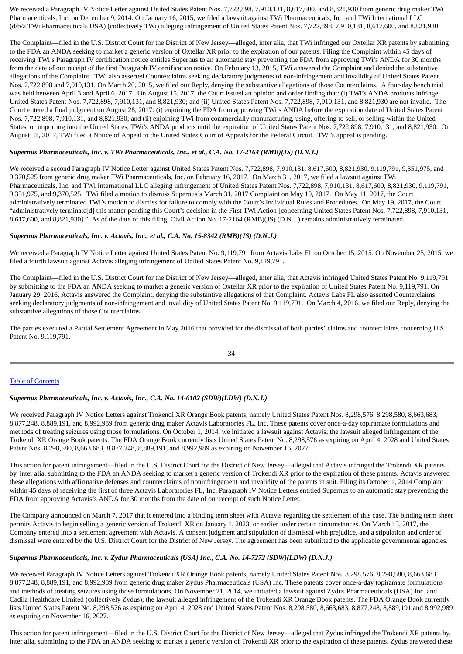We received a Paragraph IV Notice Letter against United States Patent Nos. 7,722,898, 7,910,131, 8,617,600, and 8,821,930 from generic drug maker TWi Pharmaceuticals, Inc. on December 9, 2014. On January 16, 2015, we filed a lawsuit against TWi Pharmaceuticals, Inc. and TWi International LLC (d/b/a TWi Pharmaceuticals USA) (collectively TWi) alleging infringement of United States Patent Nos. 7,722,898, 7,910,131, 8,617,600, and 8,821,930.

The Complaint—filed in the U.S. District Court for the District of New Jersey—alleged, inter alia, that TWi infringed our Oxtellar XR patents by submitting to the FDA an ANDA seeking to market a generic version of Oxtellar XR prior to the expiration of our patents. Filing the Complaint within 45 days of receiving TWi's Paragraph IV certification notice entitles Supernus to an automatic stay preventing the FDA from approving TWi's ANDA for 30 months from the date of our receipt of the first Paragraph IV certification notice. On February 13, 2015, TWi answered the Complaint and denied the substantive allegations of the Complaint. TWi also asserted Counterclaims seeking declaratory judgments of non-infringement and invalidity of United States Patent Nos. 7,722,898 and 7,910,131. On March 20, 2015, we filed our Reply, denying the substantive allegations of those Counterclaims. A four-day bench trial was held between April 3 and April 6, 2017. On August 15, 2017, the Court issued an opinion and order finding that: (i) TWi's ANDA products infringe United States Patent Nos. 7,722,898, 7,910,131, and 8,821,930; and (ii) United States Patent Nos. 7,722,898, 7,910,131, and 8,821,930 are not invalid. The Court entered a final judgment on August 28, 2017: (i) enjoining the FDA from approving TWi's ANDA before the expiration date of United States Patent Nos. 7,722,898, 7,910,131, and 8,821,930; and (ii) enjoining TWi from commercially manufacturing, using, offering to sell, or selling within the United States, or importing into the United States, TWi's ANDA products until the expiration of United States Patent Nos. 7,722,898, 7,910,131, and 8,821,930. On August 31, 2017, TWi filed a Notice of Appeal to the United States Court of Appeals for the Federal Circuit. TWi's appeal is pending.

### *Supernus Pharmaceuticals, Inc. v. TWi Pharmaceuticals, Inc., et al., C.A. No. 17-2164 (RMB)(JS) (D.N.J.)*

We received a second Paragraph IV Notice Letter against United States Patent Nos. 7,722,898, 7,910,131, 8,617,600, 8,821,930, 9,119,791, 9,351,975, and 9,370,525 from generic drug maker TWi Pharmaceuticals, Inc. on February 16, 2017. On March 31, 2017, we filed a lawsuit against TWi Pharmaceuticals, Inc. and TWi International LLC alleging infringement of United States Patent Nos. 7,722,898, 7,910,131, 8,617,600, 8,821,930, 9,119,791, 9,351,975, and 9,370,525. TWi filed a motion to dismiss Supernus's March 31, 2017 Complaint on May 10, 2017. On May 11, 2017, the Court administratively terminated TWi's motion to dismiss for failure to comply with the Court's Individual Rules and Procedures. On May 19, 2017, the Court "administratively terminate[d] this matter pending this Court's decision in the First TWi Action [concerning United States Patent Nos. 7,722,898, 7,910,131, 8,617,600, and 8,821,930]." As of the date of this filing, Civil Action No. 17-2164 (RMB)(JS) (D.N.J.) remains administratively terminated.

### *Supernus Pharmaceuticals, Inc. v. Actavis, Inc., et al., C.A. No. 15-8342 (RMB)(JS) (D.N.J.)*

We received a Paragraph IV Notice Letter against United States Patent No. 9,119,791 from Actavis Labs FL on October 15, 2015. On November 25, 2015, we filed a fourth lawsuit against Actavis alleging infringement of United States Patent No. 9,119,791.

The Complaint—filed in the U.S. District Court for the District of New Jersey—alleged, inter alia, that Actavis infringed United States Patent No. 9,119,791 by submitting to the FDA an ANDA seeking to market a generic version of Oxtellar XR prior to the expiration of United States Patent No. 9,119,791. On January 29, 2016, Actavis answered the Complaint, denying the substantive allegations of that Complaint. Actavis Labs FL also asserted Counterclaims seeking declaratory judgments of non-infringement and invalidity of United States Patent No. 9,119,791. On March 4, 2016, we filed our Reply, denying the substantive allegations of those Counterclaims.

The parties executed a Partial Settlement Agreement in May 2016 that provided for the dismissal of both parties' claims and counterclaims concerning U.S. Patent No. 9,119,791.

$$
34 \\
$$

#### Table of [Contents](#page-0-0)

# *Supernus Pharmaceuticals, Inc. v. Actavis, Inc., C.A. No. 14-6102 (SDW)(LDW) (D.N.J.)*

We received Paragraph IV Notice Letters against Trokendi XR Orange Book patents, namely United States Patent Nos. 8,298,576, 8,298,580, 8,663,683, 8,877,248, 8,889,191, and 8,992,989 from generic drug maker Actavis Laboratories FL, Inc. These patents cover once-a-day topiramate formulations and methods of treating seizures using those formulations. On October 1, 2014, we initiated a lawsuit against Actavis; the lawsuit alleged infringement of the Trokendi XR Orange Book patents. The FDA Orange Book currently lists United States Patent No. 8,298,576 as expiring on April 4, 2028 and United States Patent Nos. 8,298,580, 8,663,683, 8,877,248, 8,889,191, and 8,992,989 as expiring on November 16, 2027.

This action for patent infringement—filed in the U.S. District Court for the District of New Jersey—alleged that Actavis infringed the Trokendi XR patents by, inter alia, submitting to the FDA an ANDA seeking to market a generic version of Trokendi XR prior to the expiration of these patents. Actavis answered these allegations with affirmative defenses and counterclaims of noninfringement and invalidity of the patents in suit. Filing its October 1, 2014 Complaint within 45 days of receiving the first of three Actavis Laboratories FL, Inc. Paragraph IV Notice Letters entitled Supernus to an automatic stay preventing the FDA from approving Actavis's ANDA for 30 months from the date of our receipt of such Notice Letter.

The Company announced on March 7, 2017 that it entered into a binding term sheet with Actavis regarding the settlement of this case. The binding term sheet permits Actavis to begin selling a generic version of Trokendi XR on January 1, 2023, or earlier under certain circumstances. On March 13, 2017, the Company entered into a settlement agreement with Actavis. A consent judgment and stipulation of dismissal with prejudice, and a stipulation and order of dismissal were entered by the U.S. District Court for the District of New Jersey. The agreement has been submitted to the applicable governmental agencies.

# *Supernus Pharmaceuticals, Inc. v. Zydus Pharmaceuticals (USA) Inc., C.A. No. 14-7272 (SDW)(LDW) (D.N.J.)*

We received Paragraph IV Notice Letters against Trokendi XR Orange Book patents, namely United States Patent Nos. 8,298,576, 8,298,580, 8,663,683, 8,877,248, 8,889,191, and 8,992,989 from generic drug maker Zydus Pharmaceuticals (USA) Inc. These patents cover once-a-day topiramate formulations and methods of treating seizures using those formulations. On November 21, 2014, we initiated a lawsuit against Zydus Pharmaceuticals (USA) Inc. and Cadila Healthcare Limited (collectively Zydus); the lawsuit alleged infringement of the Trokendi XR Orange Book patents. The FDA Orange Book currently lists United States Patent No. 8,298,576 as expiring on April 4, 2028 and United States Patent Nos. 8,298,580, 8,663,683, 8,877,248, 8,889,191 and 8,992,989 as expiring on November 16, 2027.

This action for patent infringement—filed in the U.S. District Court for the District of New Jersey—alleged that Zydus infringed the Trokendi XR patents by, inter alia, submitting to the FDA an ANDA seeking to market a generic version of Trokendi XR prior to the expiration of these patents. Zydus answered these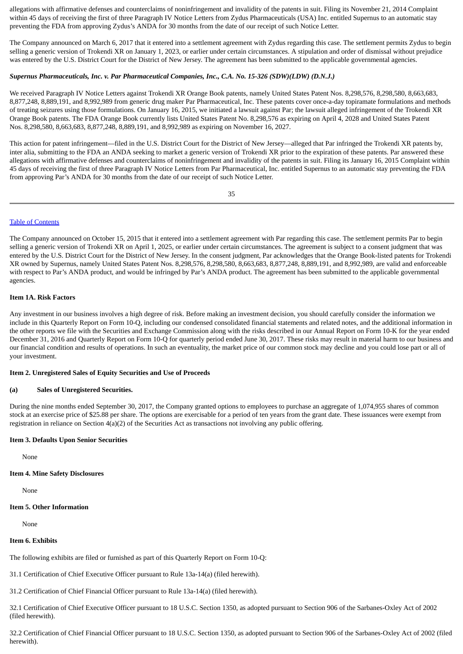allegations with affirmative defenses and counterclaims of noninfringement and invalidity of the patents in suit. Filing its November 21, 2014 Complaint within 45 days of receiving the first of three Paragraph IV Notice Letters from Zydus Pharmaceuticals (USA) Inc. entitled Supernus to an automatic stay preventing the FDA from approving Zydus's ANDA for 30 months from the date of our receipt of such Notice Letter.

The Company announced on March 6, 2017 that it entered into a settlement agreement with Zydus regarding this case. The settlement permits Zydus to begin selling a generic version of Trokendi XR on January 1, 2023, or earlier under certain circumstances. A stipulation and order of dismissal without prejudice was entered by the U.S. District Court for the District of New Jersey. The agreement has been submitted to the applicable governmental agencies.

### *Supernus Pharmaceuticals, Inc. v. Par Pharmaceutical Companies, Inc., C.A. No. 15-326 (SDW)(LDW) (D.N.J.)*

We received Paragraph IV Notice Letters against Trokendi XR Orange Book patents, namely United States Patent Nos. 8,298,576, 8,298,580, 8,663,683, 8,877,248, 8,889,191, and 8,992,989 from generic drug maker Par Pharmaceutical, Inc. These patents cover once-a-day topiramate formulations and methods of treating seizures using those formulations. On January 16, 2015, we initiated a lawsuit against Par; the lawsuit alleged infringement of the Trokendi XR Orange Book patents. The FDA Orange Book currently lists United States Patent No. 8,298,576 as expiring on April 4, 2028 and United States Patent Nos. 8,298,580, 8,663,683, 8,877,248, 8,889,191, and 8,992,989 as expiring on November 16, 2027.

This action for patent infringement—filed in the U.S. District Court for the District of New Jersey—alleged that Par infringed the Trokendi XR patents by, inter alia, submitting to the FDA an ANDA seeking to market a generic version of Trokendi XR prior to the expiration of these patents. Par answered these allegations with affirmative defenses and counterclaims of noninfringement and invalidity of the patents in suit. Filing its January 16, 2015 Complaint within 45 days of receiving the first of three Paragraph IV Notice Letters from Par Pharmaceutical, Inc. entitled Supernus to an automatic stay preventing the FDA from approving Par's ANDA for 30 months from the date of our receipt of such Notice Letter.

<span id="page-25-1"></span>35

### Table of [Contents](#page-0-0)

The Company announced on October 15, 2015 that it entered into a settlement agreement with Par regarding this case. The settlement permits Par to begin selling a generic version of Trokendi XR on April 1, 2025, or earlier under certain circumstances. The agreement is subject to a consent judgment that was entered by the U.S. District Court for the District of New Jersey. In the consent judgment, Par acknowledges that the Orange Book-listed patents for Trokendi XR owned by Supernus, namely United States Patent Nos. 8,298,576, 8,298,580, 8,663,683, 8,877,248, 8,889,191, and 8,992,989, are valid and enforceable with respect to Par's ANDA product, and would be infringed by Par's ANDA product. The agreement has been submitted to the applicable governmental agencies.

### <span id="page-25-0"></span>**Item 1A. Risk Factors**

Any investment in our business involves a high degree of risk. Before making an investment decision, you should carefully consider the information we include in this Quarterly Report on Form 10-Q, including our condensed consolidated financial statements and related notes, and the additional information in the other reports we file with the Securities and Exchange Commission along with the risks described in our Annual Report on Form 10-K for the year ended December 31, 2016 and Quarterly Report on Form 10-Q for quarterly period ended June 30, 2017. These risks may result in material harm to our business and our financial condition and results of operations. In such an eventuality, the market price of our common stock may decline and you could lose part or all of your investment.

#### **Item 2. Unregistered Sales of Equity Securities and Use of Proceeds**

#### **(a) Sales of Unregistered Securities.**

During the nine months ended September 30, 2017, the Company granted options to employees to purchase an aggregate of 1,074,955 shares of common stock at an exercise price of \$25.88 per share. The options are exercisable for a period of ten years from the grant date. These issuances were exempt from registration in reliance on Section 4(a)(2) of the Securities Act as transactions not involving any public offering.

### **Item 3. Defaults Upon Senior Securities**

<span id="page-25-3"></span><span id="page-25-2"></span>None

### **Item 4. Mine Safety Disclosures**

<span id="page-25-4"></span>None

#### **Item 5. Other Information**

<span id="page-25-5"></span>None

### **Item 6. Exhibits**

The following exhibits are filed or furnished as part of this Quarterly Report on Form 10-Q:

31.1 Certification of Chief Executive Officer pursuant to Rule 13a-14(a) (filed herewith).

31.2 Certification of Chief Financial Officer pursuant to Rule 13a-14(a) (filed herewith).

32.1 Certification of Chief Executive Officer pursuant to 18 U.S.C. Section 1350, as adopted pursuant to Section 906 of the Sarbanes-Oxley Act of 2002 (filed herewith).

32.2 Certification of Chief Financial Officer pursuant to 18 U.S.C. Section 1350, as adopted pursuant to Section 906 of the Sarbanes-Oxley Act of 2002 (filed herewith).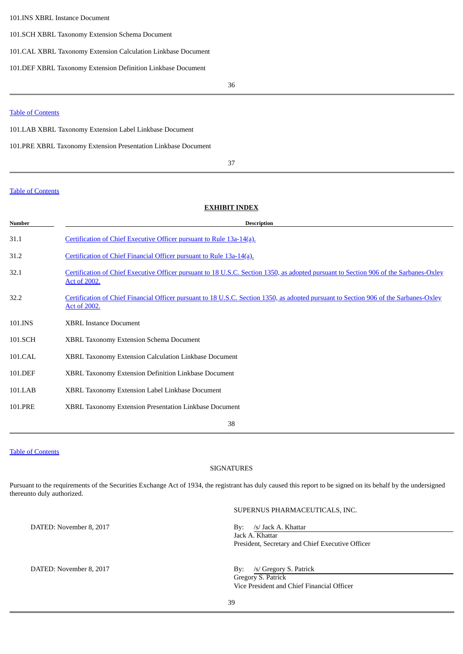101.INS XBRL Instance Document

101.SCH XBRL Taxonomy Extension Schema Document

101.CAL XBRL Taxonomy Extension Calculation Linkbase Document

101.DEF XBRL Taxonomy Extension Definition Linkbase Document

36

#### Table of [Contents](#page-0-0)

101.LAB XBRL Taxonomy Extension Label Linkbase Document

101.PRE XBRL Taxonomy Extension Presentation Linkbase Document

37

### Table of [Contents](#page-0-0)

| <b>EXHIBIT INDEX</b> |                                                                                                                                                              |  |  |  |
|----------------------|--------------------------------------------------------------------------------------------------------------------------------------------------------------|--|--|--|
| Number               | <b>Description</b>                                                                                                                                           |  |  |  |
| 31.1                 | Certification of Chief Executive Officer pursuant to Rule 13a-14(a).                                                                                         |  |  |  |
| 31.2                 | Certification of Chief Financial Officer pursuant to Rule 13a-14(a).                                                                                         |  |  |  |
| 32.1                 | Certification of Chief Executive Officer pursuant to 18 U.S.C. Section 1350, as adopted pursuant to Section 906 of the Sarbanes-Oxley<br>Act of 2002.        |  |  |  |
| 32.2                 | Certification of Chief Financial Officer pursuant to 18 U.S.C. Section 1350, as adopted pursuant to Section 906 of the Sarbanes-Oxley<br><u>Act of 2002.</u> |  |  |  |
| 101.INS              | <b>XBRL Instance Document</b>                                                                                                                                |  |  |  |
| 101.SCH              | <b>XBRL Taxonomy Extension Schema Document</b>                                                                                                               |  |  |  |
| 101.CAL              | XBRL Taxonomy Extension Calculation Linkbase Document                                                                                                        |  |  |  |
| 101.DEF              | XBRL Taxonomy Extension Definition Linkbase Document                                                                                                         |  |  |  |
| 101.LAB              | XBRL Taxonomy Extension Label Linkbase Document                                                                                                              |  |  |  |
| 101.PRE              | XBRL Taxonomy Extension Presentation Linkbase Document                                                                                                       |  |  |  |
|                      | 38                                                                                                                                                           |  |  |  |

Table of [Contents](#page-0-0)

### <span id="page-26-0"></span>SIGNATURES

Pursuant to the requirements of the Securities Exchange Act of 1934, the registrant has duly caused this report to be signed on its behalf by the undersigned thereunto duly authorized.

<span id="page-26-1"></span>SUPERNUS PHARMACEUTICALS, INC.

| DATED: November 8, 2017 | /s/ Jack A. Khattar<br>Bv:                       |  |  |  |
|-------------------------|--------------------------------------------------|--|--|--|
|                         | Jack A. Khattar                                  |  |  |  |
|                         | President, Secretary and Chief Executive Officer |  |  |  |
|                         |                                                  |  |  |  |
| DATED: November 8, 2017 | /s/ Gregory S. Patrick<br>Bv:                    |  |  |  |
|                         | Gregory S. Patrick                               |  |  |  |
|                         | Vice President and Chief Financial Officer       |  |  |  |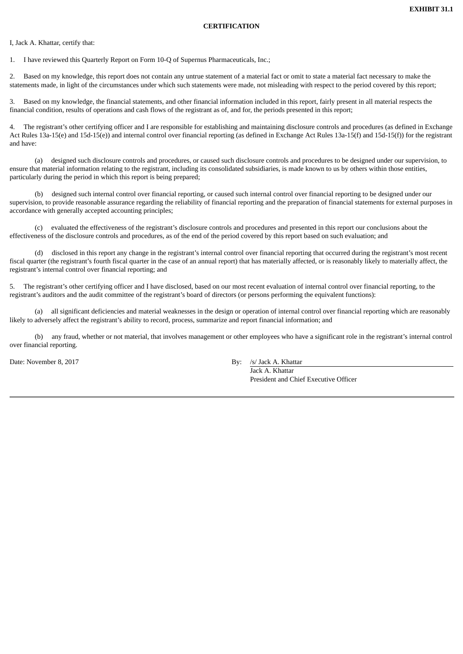### **CERTIFICATION**

I, Jack A. Khattar, certify that:

1. I have reviewed this Quarterly Report on Form 10-Q of Supernus Pharmaceuticals, Inc.;

2. Based on my knowledge, this report does not contain any untrue statement of a material fact or omit to state a material fact necessary to make the statements made, in light of the circumstances under which such statements were made, not misleading with respect to the period covered by this report;

3. Based on my knowledge, the financial statements, and other financial information included in this report, fairly present in all material respects the financial condition, results of operations and cash flows of the registrant as of, and for, the periods presented in this report;

4. The registrant's other certifying officer and I are responsible for establishing and maintaining disclosure controls and procedures (as defined in Exchange Act Rules 13a-15(e) and 15d-15(e)) and internal control over financial reporting (as defined in Exchange Act Rules 13a-15(f) and 15d-15(f)) for the registrant and have:

(a) designed such disclosure controls and procedures, or caused such disclosure controls and procedures to be designed under our supervision, to ensure that material information relating to the registrant, including its consolidated subsidiaries, is made known to us by others within those entities, particularly during the period in which this report is being prepared;

(b) designed such internal control over financial reporting, or caused such internal control over financial reporting to be designed under our supervision, to provide reasonable assurance regarding the reliability of financial reporting and the preparation of financial statements for external purposes in accordance with generally accepted accounting principles;

(c) evaluated the effectiveness of the registrant's disclosure controls and procedures and presented in this report our conclusions about the effectiveness of the disclosure controls and procedures, as of the end of the period covered by this report based on such evaluation; and

(d) disclosed in this report any change in the registrant's internal control over financial reporting that occurred during the registrant's most recent fiscal quarter (the registrant's fourth fiscal quarter in the case of an annual report) that has materially affected, or is reasonably likely to materially affect, the registrant's internal control over financial reporting; and

5. The registrant's other certifying officer and I have disclosed, based on our most recent evaluation of internal control over financial reporting, to the registrant's auditors and the audit committee of the registrant's board of directors (or persons performing the equivalent functions):

(a) all significant deficiencies and material weaknesses in the design or operation of internal control over financial reporting which are reasonably likely to adversely affect the registrant's ability to record, process, summarize and report financial information; and

(b) any fraud, whether or not material, that involves management or other employees who have a significant role in the registrant's internal control over financial reporting.

Date: November 8, 2017 **By:** /s/ Jack A. Khattar

<span id="page-27-0"></span>Jack A. Khattar President and Chief Executive Officer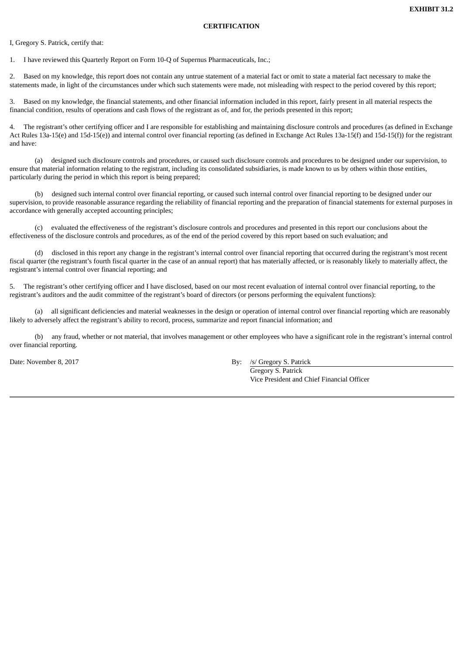### **CERTIFICATION**

I, Gregory S. Patrick, certify that:

1. I have reviewed this Quarterly Report on Form 10-Q of Supernus Pharmaceuticals, Inc.;

2. Based on my knowledge, this report does not contain any untrue statement of a material fact or omit to state a material fact necessary to make the statements made, in light of the circumstances under which such statements were made, not misleading with respect to the period covered by this report;

3. Based on my knowledge, the financial statements, and other financial information included in this report, fairly present in all material respects the financial condition, results of operations and cash flows of the registrant as of, and for, the periods presented in this report;

4. The registrant's other certifying officer and I are responsible for establishing and maintaining disclosure controls and procedures (as defined in Exchange Act Rules 13a-15(e) and 15d-15(e)) and internal control over financial reporting (as defined in Exchange Act Rules 13a-15(f) and 15d-15(f)) for the registrant and have:

(a) designed such disclosure controls and procedures, or caused such disclosure controls and procedures to be designed under our supervision, to ensure that material information relating to the registrant, including its consolidated subsidiaries, is made known to us by others within those entities, particularly during the period in which this report is being prepared;

(b) designed such internal control over financial reporting, or caused such internal control over financial reporting to be designed under our supervision, to provide reasonable assurance regarding the reliability of financial reporting and the preparation of financial statements for external purposes in accordance with generally accepted accounting principles;

(c) evaluated the effectiveness of the registrant's disclosure controls and procedures and presented in this report our conclusions about the effectiveness of the disclosure controls and procedures, as of the end of the period covered by this report based on such evaluation; and

(d) disclosed in this report any change in the registrant's internal control over financial reporting that occurred during the registrant's most recent fiscal quarter (the registrant's fourth fiscal quarter in the case of an annual report) that has materially affected, or is reasonably likely to materially affect, the registrant's internal control over financial reporting; and

5. The registrant's other certifying officer and I have disclosed, based on our most recent evaluation of internal control over financial reporting, to the registrant's auditors and the audit committee of the registrant's board of directors (or persons performing the equivalent functions):

(a) all significant deficiencies and material weaknesses in the design or operation of internal control over financial reporting which are reasonably likely to adversely affect the registrant's ability to record, process, summarize and report financial information; and

(b) any fraud, whether or not material, that involves management or other employees who have a significant role in the registrant's internal control over financial reporting.

Date: November 8, 2017 **By:** /s/ Gregory S. Patrick

<span id="page-28-0"></span>Gregory S. Patrick Vice President and Chief Financial Officer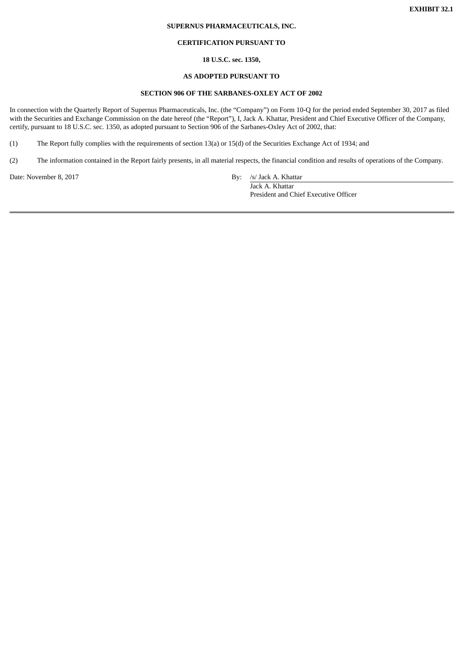### **SUPERNUS PHARMACEUTICALS, INC.**

### **CERTIFICATION PURSUANT TO**

### **18 U.S.C. sec. 1350,**

### **AS ADOPTED PURSUANT TO**

### **SECTION 906 OF THE SARBANES-OXLEY ACT OF 2002**

In connection with the Quarterly Report of Supernus Pharmaceuticals, Inc. (the "Company") on Form 10-Q for the period ended September 30, 2017 as filed with the Securities and Exchange Commission on the date hereof (the "Report"), I, Jack A. Khattar, President and Chief Executive Officer of the Company, certify, pursuant to 18 U.S.C. sec. 1350, as adopted pursuant to Section 906 of the Sarbanes-Oxley Act of 2002, that:

(1) The Report fully complies with the requirements of section 13(a) or 15(d) of the Securities Exchange Act of 1934; and

(2) The information contained in the Report fairly presents, in all material respects, the financial condition and results of operations of the Company.

Date: November 8, 2017 By: /s/ Jack A. Khattar

<span id="page-29-0"></span>Jack A. Khattar President and Chief Executive Officer